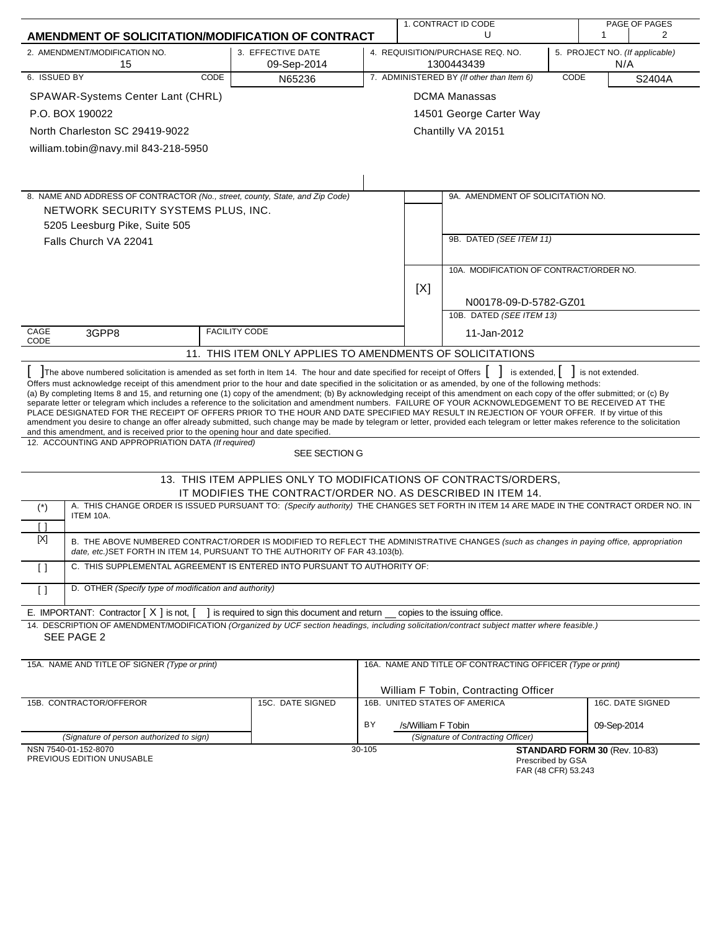|                                                                                                                                                                                                                                                                                                                                                                                                                                                                                                                                                                                                                                                                                                                                                                                                                                                                                                                                                                                                                                                                                                             |      |                                                                                                                                                                                                                          |                                                                                         |                    | 1. CONTRACT ID CODE                                        |      |                               | PAGE OF PAGES    |
|-------------------------------------------------------------------------------------------------------------------------------------------------------------------------------------------------------------------------------------------------------------------------------------------------------------------------------------------------------------------------------------------------------------------------------------------------------------------------------------------------------------------------------------------------------------------------------------------------------------------------------------------------------------------------------------------------------------------------------------------------------------------------------------------------------------------------------------------------------------------------------------------------------------------------------------------------------------------------------------------------------------------------------------------------------------------------------------------------------------|------|--------------------------------------------------------------------------------------------------------------------------------------------------------------------------------------------------------------------------|-----------------------------------------------------------------------------------------|--------------------|------------------------------------------------------------|------|-------------------------------|------------------|
| AMENDMENT OF SOLICITATION/MODIFICATION OF CONTRACT                                                                                                                                                                                                                                                                                                                                                                                                                                                                                                                                                                                                                                                                                                                                                                                                                                                                                                                                                                                                                                                          |      |                                                                                                                                                                                                                          |                                                                                         |                    | U                                                          |      | 1                             | $\overline{2}$   |
| 2. AMENDMENT/MODIFICATION NO.<br>15                                                                                                                                                                                                                                                                                                                                                                                                                                                                                                                                                                                                                                                                                                                                                                                                                                                                                                                                                                                                                                                                         |      | 3. EFFECTIVE DATE<br>09-Sep-2014                                                                                                                                                                                         | 4. REQUISITION/PURCHASE REQ. NO.<br>5. PROJECT NO. (If applicable)<br>N/A<br>1300443439 |                    |                                                            |      |                               |                  |
| 6. ISSUED BY                                                                                                                                                                                                                                                                                                                                                                                                                                                                                                                                                                                                                                                                                                                                                                                                                                                                                                                                                                                                                                                                                                | CODE | N65236                                                                                                                                                                                                                   |                                                                                         |                    | 7. ADMINISTERED BY (If other than Item 6)                  | CODE |                               | S2404A           |
| SPAWAR-Systems Center Lant (CHRL)                                                                                                                                                                                                                                                                                                                                                                                                                                                                                                                                                                                                                                                                                                                                                                                                                                                                                                                                                                                                                                                                           |      |                                                                                                                                                                                                                          |                                                                                         |                    | <b>DCMA Manassas</b>                                       |      |                               |                  |
| P.O. BOX 190022                                                                                                                                                                                                                                                                                                                                                                                                                                                                                                                                                                                                                                                                                                                                                                                                                                                                                                                                                                                                                                                                                             |      |                                                                                                                                                                                                                          |                                                                                         |                    | 14501 George Carter Way                                    |      |                               |                  |
| North Charleston SC 29419-9022                                                                                                                                                                                                                                                                                                                                                                                                                                                                                                                                                                                                                                                                                                                                                                                                                                                                                                                                                                                                                                                                              |      |                                                                                                                                                                                                                          |                                                                                         |                    | Chantilly VA 20151                                         |      |                               |                  |
| william.tobin@navy.mil 843-218-5950                                                                                                                                                                                                                                                                                                                                                                                                                                                                                                                                                                                                                                                                                                                                                                                                                                                                                                                                                                                                                                                                         |      |                                                                                                                                                                                                                          |                                                                                         |                    |                                                            |      |                               |                  |
|                                                                                                                                                                                                                                                                                                                                                                                                                                                                                                                                                                                                                                                                                                                                                                                                                                                                                                                                                                                                                                                                                                             |      |                                                                                                                                                                                                                          |                                                                                         |                    |                                                            |      |                               |                  |
|                                                                                                                                                                                                                                                                                                                                                                                                                                                                                                                                                                                                                                                                                                                                                                                                                                                                                                                                                                                                                                                                                                             |      |                                                                                                                                                                                                                          |                                                                                         |                    |                                                            |      |                               |                  |
| 8. NAME AND ADDRESS OF CONTRACTOR (No., street, county, State, and Zip Code)                                                                                                                                                                                                                                                                                                                                                                                                                                                                                                                                                                                                                                                                                                                                                                                                                                                                                                                                                                                                                                |      |                                                                                                                                                                                                                          |                                                                                         |                    | 9A. AMENDMENT OF SOLICITATION NO.                          |      |                               |                  |
| NETWORK SECURITY SYSTEMS PLUS, INC.                                                                                                                                                                                                                                                                                                                                                                                                                                                                                                                                                                                                                                                                                                                                                                                                                                                                                                                                                                                                                                                                         |      |                                                                                                                                                                                                                          |                                                                                         |                    |                                                            |      |                               |                  |
| 5205 Leesburg Pike, Suite 505                                                                                                                                                                                                                                                                                                                                                                                                                                                                                                                                                                                                                                                                                                                                                                                                                                                                                                                                                                                                                                                                               |      |                                                                                                                                                                                                                          |                                                                                         |                    |                                                            |      |                               |                  |
| Falls Church VA 22041                                                                                                                                                                                                                                                                                                                                                                                                                                                                                                                                                                                                                                                                                                                                                                                                                                                                                                                                                                                                                                                                                       |      |                                                                                                                                                                                                                          |                                                                                         |                    | 9B. DATED (SEE ITEM 11)                                    |      |                               |                  |
|                                                                                                                                                                                                                                                                                                                                                                                                                                                                                                                                                                                                                                                                                                                                                                                                                                                                                                                                                                                                                                                                                                             |      |                                                                                                                                                                                                                          |                                                                                         |                    |                                                            |      |                               |                  |
|                                                                                                                                                                                                                                                                                                                                                                                                                                                                                                                                                                                                                                                                                                                                                                                                                                                                                                                                                                                                                                                                                                             |      |                                                                                                                                                                                                                          |                                                                                         |                    | 10A. MODIFICATION OF CONTRACT/ORDER NO.                    |      |                               |                  |
|                                                                                                                                                                                                                                                                                                                                                                                                                                                                                                                                                                                                                                                                                                                                                                                                                                                                                                                                                                                                                                                                                                             |      |                                                                                                                                                                                                                          |                                                                                         | [X]                |                                                            |      |                               |                  |
|                                                                                                                                                                                                                                                                                                                                                                                                                                                                                                                                                                                                                                                                                                                                                                                                                                                                                                                                                                                                                                                                                                             |      |                                                                                                                                                                                                                          |                                                                                         |                    | N00178-09-D-5782-GZ01<br>10B. DATED (SEE ITEM 13)          |      |                               |                  |
| CAGE                                                                                                                                                                                                                                                                                                                                                                                                                                                                                                                                                                                                                                                                                                                                                                                                                                                                                                                                                                                                                                                                                                        |      | <b>FACILITY CODE</b>                                                                                                                                                                                                     |                                                                                         |                    |                                                            |      |                               |                  |
| 3GPP8<br>CODE                                                                                                                                                                                                                                                                                                                                                                                                                                                                                                                                                                                                                                                                                                                                                                                                                                                                                                                                                                                                                                                                                               |      |                                                                                                                                                                                                                          |                                                                                         |                    | 11-Jan-2012                                                |      |                               |                  |
|                                                                                                                                                                                                                                                                                                                                                                                                                                                                                                                                                                                                                                                                                                                                                                                                                                                                                                                                                                                                                                                                                                             |      | 11. THIS ITEM ONLY APPLIES TO AMENDMENTS OF SOLICITATIONS                                                                                                                                                                |                                                                                         |                    |                                                            |      |                               |                  |
| The above numbered solicitation is amended as set forth in Item 14. The hour and date specified for receipt of Offers<br>Offers must acknowledge receipt of this amendment prior to the hour and date specified in the solicitation or as amended, by one of the following methods:<br>(a) By completing Items 8 and 15, and returning one (1) copy of the amendment; (b) By acknowledging receipt of this amendment on each copy of the offer submitted; or (c) By<br>separate letter or telegram which includes a reference to the solicitation and amendment numbers. FAILURE OF YOUR ACKNOWLEDGEMENT TO BE RECEIVED AT THE<br>PLACE DESIGNATED FOR THE RECEIPT OF OFFERS PRIOR TO THE HOUR AND DATE SPECIFIED MAY RESULT IN REJECTION OF YOUR OFFER. If by virtue of this<br>amendment you desire to change an offer already submitted, such change may be made by telegram or letter, provided each telegram or letter makes reference to the solicitation<br>and this amendment, and is received prior to the opening hour and date specified.<br>12. ACCOUNTING AND APPROPRIATION DATA (If required) |      |                                                                                                                                                                                                                          |                                                                                         |                    | is extended,  <br>$\blacksquare$                           |      | is not extended.              |                  |
|                                                                                                                                                                                                                                                                                                                                                                                                                                                                                                                                                                                                                                                                                                                                                                                                                                                                                                                                                                                                                                                                                                             |      | SEE SECTION G                                                                                                                                                                                                            |                                                                                         |                    |                                                            |      |                               |                  |
|                                                                                                                                                                                                                                                                                                                                                                                                                                                                                                                                                                                                                                                                                                                                                                                                                                                                                                                                                                                                                                                                                                             |      | 13. THIS ITEM APPLIES ONLY TO MODIFICATIONS OF CONTRACTS/ORDERS.<br>IT MODIFIES THE CONTRACT/ORDER NO. AS DESCRIBED IN ITEM 14.                                                                                          |                                                                                         |                    |                                                            |      |                               |                  |
| $(\dot{\phantom{a}})$                                                                                                                                                                                                                                                                                                                                                                                                                                                                                                                                                                                                                                                                                                                                                                                                                                                                                                                                                                                                                                                                                       |      | A. THIS CHANGE ORDER IS ISSUED PURSUANT TO: (Specify authority) THE CHANGES SET FORTH IN ITEM 14 ARE MADE IN THE CONTRACT ORDER NO. IN                                                                                   |                                                                                         |                    |                                                            |      |                               |                  |
| ITEM 10A.<br>$\lceil$ $\rceil$                                                                                                                                                                                                                                                                                                                                                                                                                                                                                                                                                                                                                                                                                                                                                                                                                                                                                                                                                                                                                                                                              |      |                                                                                                                                                                                                                          |                                                                                         |                    |                                                            |      |                               |                  |
| $[{\sf X}]$                                                                                                                                                                                                                                                                                                                                                                                                                                                                                                                                                                                                                                                                                                                                                                                                                                                                                                                                                                                                                                                                                                 |      | B. THE ABOVE NUMBERED CONTRACT/ORDER IS MODIFIED TO REFLECT THE ADMINISTRATIVE CHANGES (such as changes in paying office, appropriation<br>date, etc. JSET FORTH IN ITEM 14, PURSUANT TO THE AUTHORITY OF FAR 43.103(b). |                                                                                         |                    |                                                            |      |                               |                  |
| $\Box$                                                                                                                                                                                                                                                                                                                                                                                                                                                                                                                                                                                                                                                                                                                                                                                                                                                                                                                                                                                                                                                                                                      |      | C. THIS SUPPLEMENTAL AGREEMENT IS ENTERED INTO PURSUANT TO AUTHORITY OF:                                                                                                                                                 |                                                                                         |                    |                                                            |      |                               |                  |
| D. OTHER (Specify type of modification and authority)<br>$\lceil$ $\rceil$                                                                                                                                                                                                                                                                                                                                                                                                                                                                                                                                                                                                                                                                                                                                                                                                                                                                                                                                                                                                                                  |      |                                                                                                                                                                                                                          |                                                                                         |                    |                                                            |      |                               |                  |
| E. IMPORTANT: Contractor $[X]$ is not, $[$<br>14. DESCRIPTION OF AMENDMENT/MODIFICATION (Organized by UCF section headings, including solicitation/contract subject matter where feasible.)                                                                                                                                                                                                                                                                                                                                                                                                                                                                                                                                                                                                                                                                                                                                                                                                                                                                                                                 |      | ] is required to sign this document and return __                                                                                                                                                                        |                                                                                         |                    | copies to the issuing office.                              |      |                               |                  |
| SEE PAGE 2                                                                                                                                                                                                                                                                                                                                                                                                                                                                                                                                                                                                                                                                                                                                                                                                                                                                                                                                                                                                                                                                                                  |      |                                                                                                                                                                                                                          |                                                                                         |                    |                                                            |      |                               |                  |
| 15A. NAME AND TITLE OF SIGNER (Type or print)                                                                                                                                                                                                                                                                                                                                                                                                                                                                                                                                                                                                                                                                                                                                                                                                                                                                                                                                                                                                                                                               |      |                                                                                                                                                                                                                          |                                                                                         |                    | 16A. NAME AND TITLE OF CONTRACTING OFFICER (Type or print) |      |                               |                  |
|                                                                                                                                                                                                                                                                                                                                                                                                                                                                                                                                                                                                                                                                                                                                                                                                                                                                                                                                                                                                                                                                                                             |      |                                                                                                                                                                                                                          |                                                                                         |                    | William F Tobin, Contracting Officer                       |      |                               |                  |
| 15B. CONTRACTOR/OFFEROR                                                                                                                                                                                                                                                                                                                                                                                                                                                                                                                                                                                                                                                                                                                                                                                                                                                                                                                                                                                                                                                                                     |      | 15C. DATE SIGNED                                                                                                                                                                                                         |                                                                                         |                    | 16B. UNITED STATES OF AMERICA                              |      |                               | 16C. DATE SIGNED |
|                                                                                                                                                                                                                                                                                                                                                                                                                                                                                                                                                                                                                                                                                                                                                                                                                                                                                                                                                                                                                                                                                                             |      |                                                                                                                                                                                                                          | ΒY                                                                                      | /s/William F Tobin |                                                            |      | 09-Sep-2014                   |                  |
| (Signature of person authorized to sign)<br>NSN 7540-01-152-8070                                                                                                                                                                                                                                                                                                                                                                                                                                                                                                                                                                                                                                                                                                                                                                                                                                                                                                                                                                                                                                            |      |                                                                                                                                                                                                                          | 30-105                                                                                  |                    | (Signature of Contracting Officer)                         |      | STANDARD FORM 30 (Rev. 10-83) |                  |
| PREVIOUS EDITION UNUSABLE                                                                                                                                                                                                                                                                                                                                                                                                                                                                                                                                                                                                                                                                                                                                                                                                                                                                                                                                                                                                                                                                                   |      |                                                                                                                                                                                                                          |                                                                                         |                    | Prescribed by GSA<br>FAR (48 CFR) 53.243                   |      |                               |                  |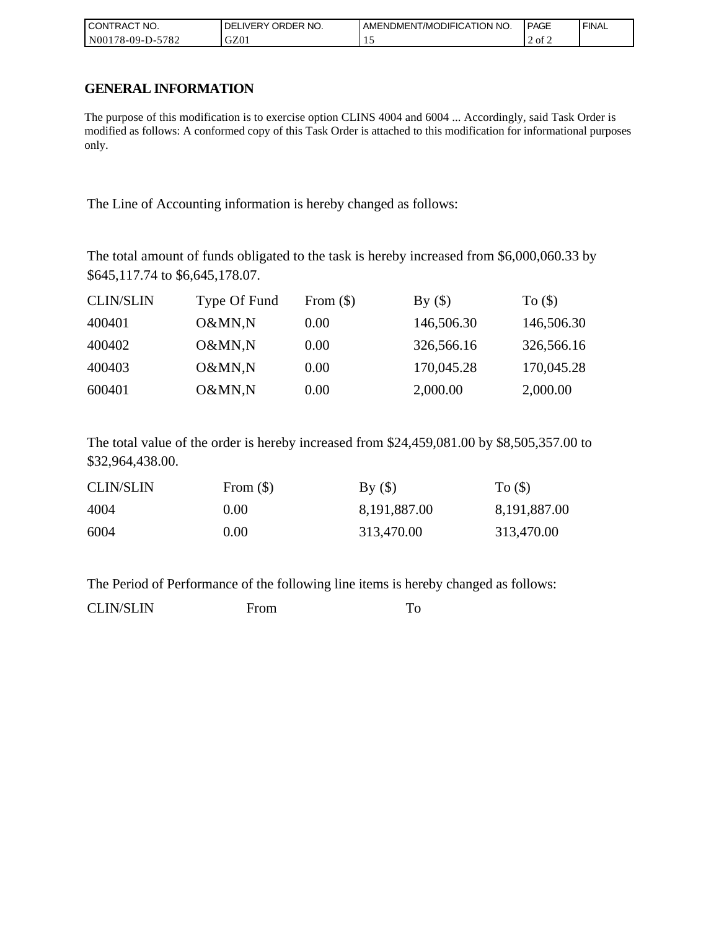| l CON <sup>-</sup><br>'TRACT NO. | ORDER NO.<br>IVERY<br>DELI | AMENDMENT/MODIFICATION NO. | <b>PAGE</b> | ' FINAL |
|----------------------------------|----------------------------|----------------------------|-------------|---------|
| N00178-09-D-:<br>5782            | GZ01                       |                            | 2 of 2      |         |

### **GENERAL INFORMATION**

The purpose of this modification is to exercise option CLINS 4004 and 6004 ... Accordingly, said Task Order is modified as follows: A conformed copy of this Task Order is attached to this modification for informational purposes only.

The Line of Accounting information is hereby changed as follows:

The total amount of funds obligated to the task is hereby increased from \$6,000,060.33 by \$645,117.74 to \$6,645,178.07.

| <b>CLIN/SLIN</b> | Type Of Fund | From $(\$)$ | By()       | To $($ math) |
|------------------|--------------|-------------|------------|--------------|
| 400401           | O&MN,N       | 0.00        | 146,506.30 | 146,506.30   |
| 400402           | O&MN,N       | 0.00        | 326,566.16 | 326,566.16   |
| 400403           | O&MN,N       | 0.00        | 170,045.28 | 170,045.28   |
| 600401           | O&MN,N       | 0.00        | 2,000.00   | 2,000.00     |

The total value of the order is hereby increased from \$24,459,081.00 by \$8,505,357.00 to \$32,964,438.00.

| <b>CLIN/SLIN</b> | From $(\$)$ | By()         | To $($ )     |
|------------------|-------------|--------------|--------------|
| 4004             | 0.00        | 8,191,887.00 | 8,191,887.00 |
| 6004             | $0.00\,$    | 313,470.00   | 313,470.00   |

The Period of Performance of the following line items is hereby changed as follows:

CLIN/SLIN From To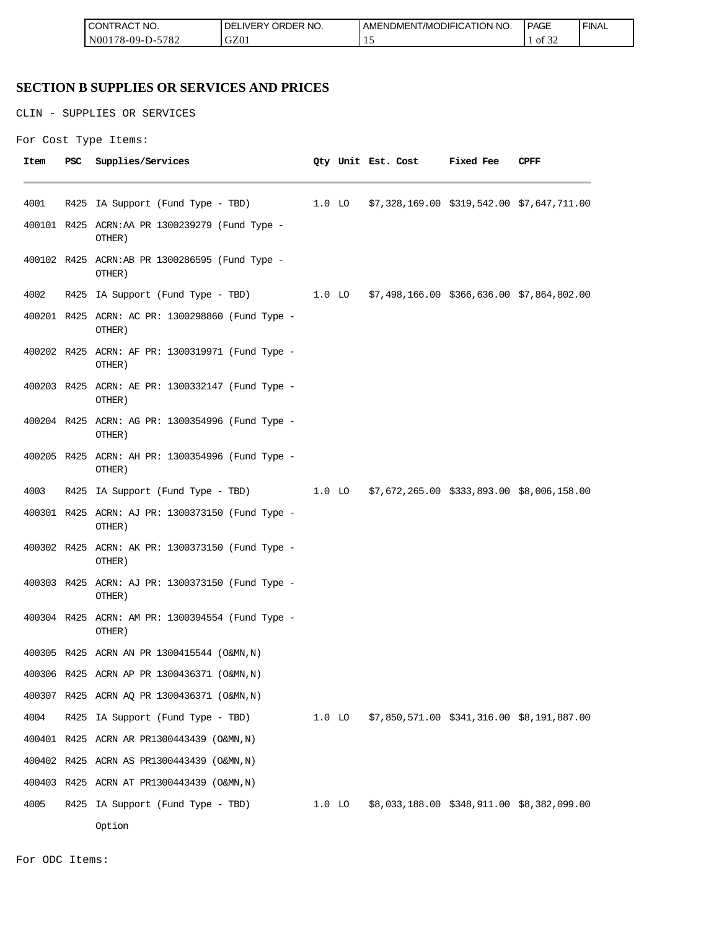| TRACT NO.<br>LCON <sup>-</sup>                          | ORDER NO.<br><b>IVERY</b><br>DF | ODIFICATION NO.<br>AMEND<br>')M⊢N .<br>7MC | PAGE      | <b>FINAL</b> |
|---------------------------------------------------------|---------------------------------|--------------------------------------------|-----------|--------------|
| 5700<br>N00<br>$.8 - 09 - \Gamma$<br>--<br>$'$ 0 $\sim$ | GZ0                             | . .                                        | ΟĪ<br>ے ر |              |

# **SECTION B SUPPLIES OR SERVICES AND PRICES**

```
For Cost Type Items:
```

|      |     | CONTRACT NO.<br>N00178-09-D-5782                           | DELIVERY ORDER NO.<br>GZ01 |          | AMENDMENT/MODIFICATION NO.<br>15              |           | <b>PAGE</b><br>FIN<br>1 of 32 |
|------|-----|------------------------------------------------------------|----------------------------|----------|-----------------------------------------------|-----------|-------------------------------|
|      |     | <b>SECTION B SUPPLIES OR SERVICES AND PRICES</b>           |                            |          |                                               |           |                               |
|      |     | CLIN - SUPPLIES OR SERVICES                                |                            |          |                                               |           |                               |
|      |     | For Cost Type Items:                                       |                            |          |                                               |           |                               |
| Item | PSC | Supplies/Services                                          |                            |          | Qty Unit Est. Cost                            | Fixed Fee | <b>CPFF</b>                   |
| 4001 |     | R425 IA Support (Fund Type - TBD)                          |                            | $1.0$ lo | $$7,328,169.00$ $$319,542.00$ $$7,647,711.00$ |           |                               |
|      |     | 400101 R425 ACRN:AA PR 1300239279 (Fund Type -<br>OTHER)   |                            |          |                                               |           |                               |
|      |     | 400102 R425 ACRN:AB PR 1300286595 (Fund Type -<br>OTHER)   |                            |          |                                               |           |                               |
| 4002 |     | R425 IA Support (Fund Type - TBD)                          |                            | 1.0 LO   | $$7,498,166.00$ $$366,636.00$ $$7,864,802.00$ |           |                               |
|      |     | 400201 R425 ACRN: AC PR: 1300298860 (Fund Type -<br>OTHER) |                            |          |                                               |           |                               |
|      |     | 400202 R425 ACRN: AF PR: 1300319971 (Fund Type -<br>OTHER) |                            |          |                                               |           |                               |
|      |     | 400203 R425 ACRN: AE PR: 1300332147 (Fund Type -<br>OTHER) |                            |          |                                               |           |                               |
|      |     | 400204 R425 ACRN: AG PR: 1300354996 (Fund Type -<br>OTHER) |                            |          |                                               |           |                               |
|      |     | 400205 R425 ACRN: AH PR: 1300354996 (Fund Type -<br>OTHER) |                            |          |                                               |           |                               |
| 4003 |     | R425 IA Support (Fund Type - TBD)                          |                            | $1.0$ lo | $$7,672,265.00$ $$333,893.00$ $$8,006,158.00$ |           |                               |
|      |     | 400301 R425 ACRN: AJ PR: 1300373150 (Fund Type -<br>OTHER) |                            |          |                                               |           |                               |
|      |     | 400302 R425 ACRN: AK PR: 1300373150 (Fund Type -<br>OTHER) |                            |          |                                               |           |                               |
|      |     | 400303 R425 ACRN: AJ PR: 1300373150 (Fund Type -<br>OTHER) |                            |          |                                               |           |                               |
|      |     | 400304 R425 ACRN: AM PR: 1300394554 (Fund Type -<br>OTHER) |                            |          |                                               |           |                               |
|      |     | 400305 R425 ACRN AN PR 1300415544 (O&MN, N)                |                            |          |                                               |           |                               |
|      |     | 400306 R425 ACRN AP PR 1300436371 (O&MN, N)                |                            |          |                                               |           |                               |
|      |     | 400307 R425 ACRN AQ PR 1300436371 (O&MN, N)                |                            |          |                                               |           |                               |
| 4004 |     | R425 IA Support (Fund Type - TBD)                          |                            | $1.0$ lo | $$7,850,571.00$ $$341,316.00$ $$8,191,887.00$ |           |                               |
|      |     | 400401 R425 ACRN AR PR1300443439 (O&MN, N)                 |                            |          |                                               |           |                               |
|      |     | 400402 R425 ACRN AS PR1300443439 (O&MN, N)                 |                            |          |                                               |           |                               |
|      |     | 400403 R425 ACRN AT PR1300443439 (O&MN, N)                 |                            |          |                                               |           |                               |
| 4005 |     | R425 IA Support (Fund Type - TBD)                          |                            | $1.0$ lo | $$8,033,188.00$ $$348,911.00$ $$8,382,099.00$ |           |                               |
|      |     | Option                                                     |                            |          |                                               |           |                               |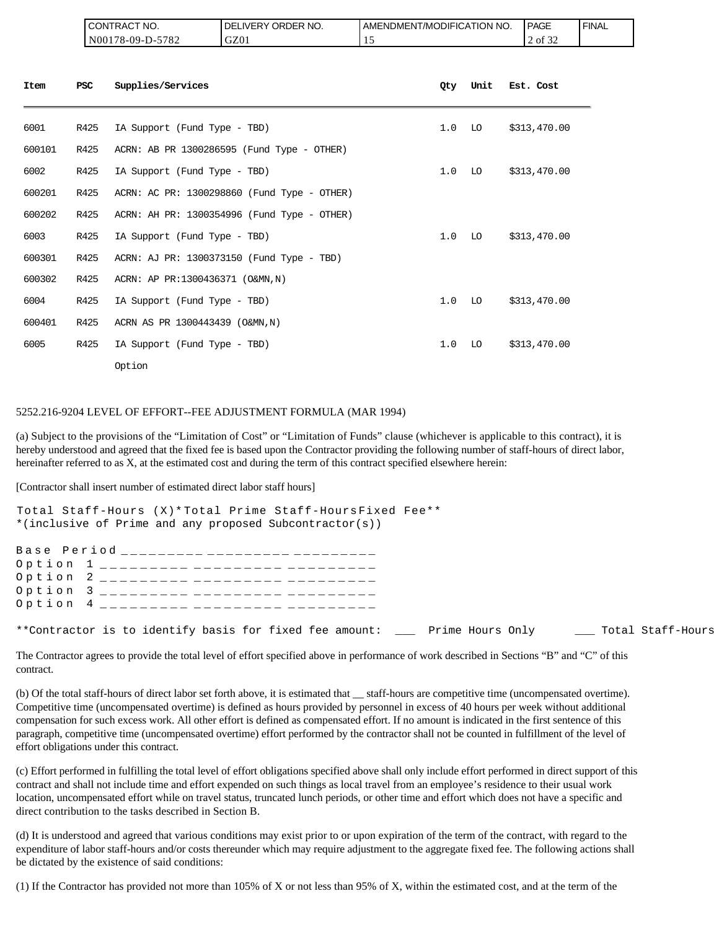| CT NO.<br>CON<br><b>TRAC</b>                                                              | ORDER NO.<br>DE<br><b>NERY</b> | NO.<br>ATION<br>AMENDMENT/MODIFICAT | <b>PAGE</b>           | ' FINAL |
|-------------------------------------------------------------------------------------------|--------------------------------|-------------------------------------|-----------------------|---------|
| 5700<br>N <sub>001</sub><br>$178 - 09 - L$<br>$\overline{\phantom{a}}$<br>ے ہ<br>$-$<br>◡ | $\sim$<br>UZUI                 | . .                                 | $\sim$<br>2 of<br>ے ر |         |

| Item   | <b>PSC</b> | Supplies/Services                           | 0ty | Unit | Est. Cost    |
|--------|------------|---------------------------------------------|-----|------|--------------|
| 6001   | R425       | IA Support (Fund Type - TBD)                | 1.0 | LO   | \$313,470.00 |
| 600101 | R425       | ACRN: AB PR 1300286595 (Fund Type - OTHER)  |     |      |              |
| 6002   | R425       | IA Support (Fund Type - TBD)                | 1.0 | LO   | \$313,470.00 |
| 600201 | R425       | ACRN: AC PR: 1300298860 (Fund Type - OTHER) |     |      |              |
| 600202 | R425       | ACRN: AH PR: 1300354996 (Fund Type - OTHER) |     |      |              |
| 6003   | R425       | IA Support (Fund Type - TBD)                | 1.0 | LO   | \$313,470.00 |
| 600301 | R425       | ACRN: AJ PR: 1300373150 (Fund Type - TBD)   |     |      |              |
| 600302 | R425       | ACRN: AP PR:1300436371 (O&MN, N)            |     |      |              |
| 6004   | R425       | IA Support (Fund Type - TBD)                | 1.0 | LO   | \$313,470.00 |
| 600401 | R425       | ACRN AS PR 1300443439 (O&MN, N)             |     |      |              |
| 6005   | R425       | IA Support (Fund Type - TBD)                | 1.0 | LO   | \$313,470.00 |
|        |            | Option                                      |     |      |              |

#### 5252.216-9204 LEVEL OF EFFORT--FEE ADJUSTMENT FORMULA (MAR 1994)

(a) Subject to the provisions of the "Limitation of Cost" or "Limitation of Funds" clause (whichever is applicable to this contract), it is hereby understood and agreed that the fixed fee is based upon the Contractor providing the following number of staff-hours of direct labor, hereinafter referred to as X, at the estimated cost and during the term of this contract specified elsewhere herein:

[Contractor shall insert number of estimated direct labor staff hours]

Total Staff-Hours (X)\* Total Prime Staff-Hours Fixed Fee\*\* \*(inclusive of Prime and any proposed Subcontractor(s)) Base Period \_\_\_\_\_\_\_\_\_ \_\_\_\_\_\_\_\_\_ \_\_\_\_\_\_\_\_\_ Option 1 \_\_\_\_\_\_\_\_\_ \_\_\_\_\_\_\_\_\_ \_\_\_\_\_\_\_ Option 2 \_\_\_\_\_\_\_\_\_ \_\_\_\_\_\_\_\_\_ \_\_\_\_\_\_\_ Option 3  $\frac{1}{2}$   $\frac{1}{2}$   $\frac{1}{2}$   $\frac{1}{2}$   $\frac{1}{2}$   $\frac{1}{2}$   $\frac{1}{2}$   $\frac{1}{2}$   $\frac{1}{2}$   $\frac{1}{2}$   $\frac{1}{2}$   $\frac{1}{2}$   $\frac{1}{2}$   $\frac{1}{2}$   $\frac{1}{2}$   $\frac{1}{2}$   $\frac{1}{2}$   $\frac{1}{2}$   $\frac{1}{2}$   $\frac{1}{2}$   $\frac{1}{2}$   $\$ Option 4  $_{------}$ \*\*Contractor is to identify basis for fixed fee amount: \_\_\_ Prime Hours Only \_\_\_\_ Total Staff-Hours

The Contractor agrees to provide the total level of effort specified above in performance of work described in Sections "B" and "C" of this contract.

(b) Of the total staff-hours of direct labor set forth above, it is estimated that \_\_ staff-hours are competitive time (uncompensated overtime). Competitive time (uncompensated overtime) is defined as hours provided by personnel in excess of 40 hours per week without additional compensation for such excess work. All other effort is defined as compensated effort. If no amount is indicated in the first sentence of this paragraph, competitive time (uncompensated overtime) effort performed by the contractor shall not be counted in fulfillment of the level of effort obligations under this contract.

(c) Effort performed in fulfilling the total level of effort obligations specified above shall only include effort performed in direct support of this contract and shall not include time and effort expended on such things as local travel from an employee's residence to their usual work location, uncompensated effort while on travel status, truncated lunch periods, or other time and effort which does not have a specific and direct contribution to the tasks described in Section B.

(d) It is understood and agreed that various conditions may exist prior to or upon expiration of the term of the contract, with regard to the expenditure of labor staff-hours and/or costs thereunder which may require adjustment to the aggregate fixed fee. The following actions shall be dictated by the existence of said conditions:

(1) If the Contractor has provided not more than 105% of X or not less than 95% of X, within the estimated cost, and at the term of the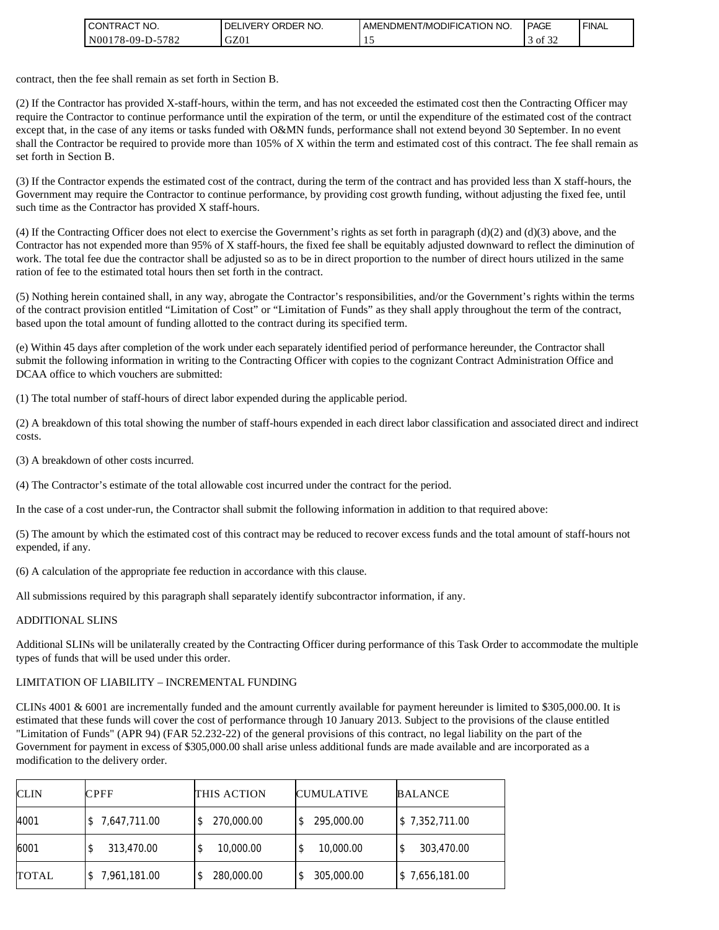| <b>I CONTRACT NO.</b>  | NO.<br>ORDER<br><b>DELIVERY</b> | AMENDMENT/MODIFICATION NO. | <b>PAGE</b>                   | <b>FINAL</b> |
|------------------------|---------------------------------|----------------------------|-------------------------------|--------------|
| $N00178-09-D-$<br>5782 | GZ01                            |                            | $\sim$ $\sim$ $\sim$<br>of 32 |              |

contract, then the fee shall remain as set forth in Section B.

(2) If the Contractor has provided X-staff-hours, within the term, and has not exceeded the estimated cost then the Contracting Officer may require the Contractor to continue performance until the expiration of the term, or until the expenditure of the estimated cost of the contract except that, in the case of any items or tasks funded with O&MN funds, performance shall not extend beyond 30 September. In no event shall the Contractor be required to provide more than 105% of X within the term and estimated cost of this contract. The fee shall remain as set forth in Section B.

(3) If the Contractor expends the estimated cost of the contract, during the term of the contract and has provided less than X staff-hours, the Government may require the Contractor to continue performance, by providing cost growth funding, without adjusting the fixed fee, until such time as the Contractor has provided X staff-hours.

(4) If the Contracting Officer does not elect to exercise the Government's rights as set forth in paragraph  $(d)(2)$  and  $(d)(3)$  above, and the Contractor has not expended more than 95% of X staff-hours, the fixed fee shall be equitably adjusted downward to reflect the diminution of work. The total fee due the contractor shall be adjusted so as to be in direct proportion to the number of direct hours utilized in the same ration of fee to the estimated total hours then set forth in the contract.

(5) Nothing herein contained shall, in any way, abrogate the Contractor's responsibilities, and/or the Government's rights within the terms of the contract provision entitled "Limitation of Cost" or "Limitation of Funds" as they shall apply throughout the term of the contract, based upon the total amount of funding allotted to the contract during its specified term.

(e) Within 45 days after completion of the work under each separately identified period of performance hereunder, the Contractor shall submit the following information in writing to the Contracting Officer with copies to the cognizant Contract Administration Office and DCAA office to which vouchers are submitted:

(1) The total number of staff-hours of direct labor expended during the applicable period.

(2) A breakdown of this total showing the number of staff-hours expended in each direct labor classification and associated direct and indirect costs.

(3) A breakdown of other costs incurred.

(4) The Contractor's estimate of the total allowable cost incurred under the contract for the period.

In the case of a cost under-run, the Contractor shall submit the following information in addition to that required above:

(5) The amount by which the estimated cost of this contract may be reduced to recover excess funds and the total amount of staff-hours not expended, if any.

(6) A calculation of the appropriate fee reduction in accordance with this clause.

All submissions required by this paragraph shall separately identify subcontractor information, if any.

#### ADDITIONAL SLINS

Additional SLINs will be unilaterally created by the Contracting Officer during performance of this Task Order to accommodate the multiple types of funds that will be used under this order.

#### LIMITATION OF LIABILITY – INCREMENTAL FUNDING

CLINs 4001 & 6001 are incrementally funded and the amount currently available for payment hereunder is limited to \$305,000.00. It is estimated that these funds will cover the cost of performance through 10 January 2013. Subject to the provisions of the clause entitled "Limitation of Funds" (APR 94) (FAR 52.232-22) of the general provisions of this contract, no legal liability on the part of the Government for payment in excess of \$305,000.00 shall arise unless additional funds are made available and are incorporated as a modification to the delivery order.

| <b>CLIN</b>  | <b>CPFF</b>  | THIS ACTION    | <b>CUMULATIVE</b> | <b>BALANCE</b> |
|--------------|--------------|----------------|-------------------|----------------|
| 4001         | 7,647,711.00 | 270,000.00     | 295,000.00        | \$7,352,711.00 |
| 6001         | 313,470.00   | 10,000.00<br>Φ | 10,000.00         | 303,470.00     |
| <b>TOTAL</b> | 7,961,181.00 | 280,000.00     | 305,000.00        | \$7,656,181.00 |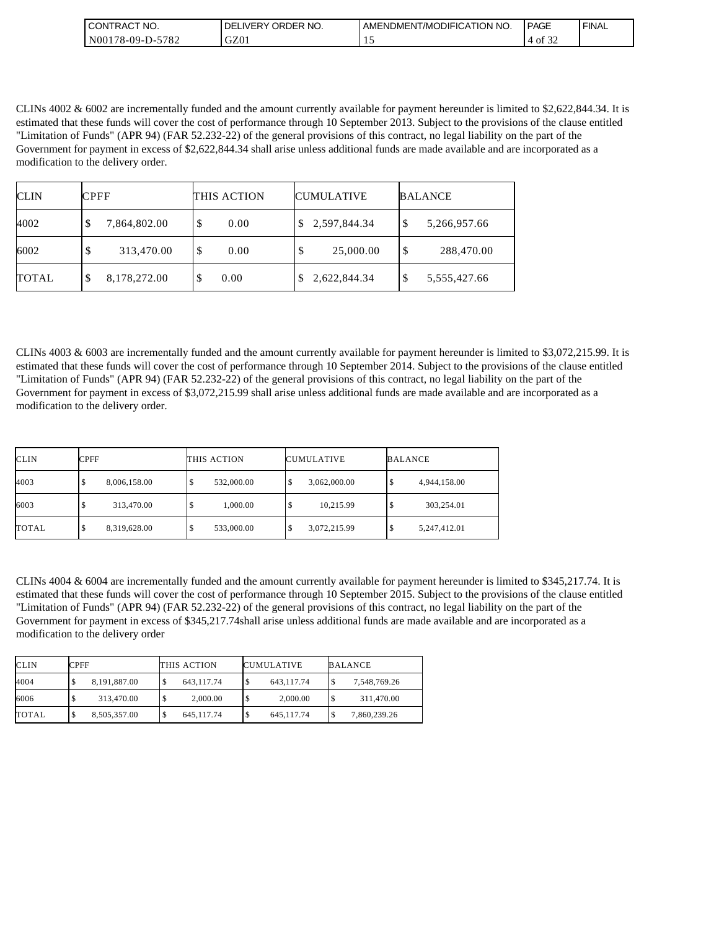| <b>CONTRACT NO.</b> | ' ORDER NO.<br><b>DELIVERY</b> | <b>JAMENDMENT/MODIFICATION NO.</b> | <b>PAGE</b>   | ' FINAL |
|---------------------|--------------------------------|------------------------------------|---------------|---------|
| N00178-09-D-5782    | GZ01                           | <b>.</b>                           | 0.22<br>of 32 |         |

CLINs 4002 & 6002 are incrementally funded and the amount currently available for payment hereunder is limited to \$2,622,844.34. It is estimated that these funds will cover the cost of performance through 10 September 2013. Subject to the provisions of the clause entitled "Limitation of Funds" (APR 94) (FAR 52.232-22) of the general provisions of this contract, no legal liability on the part of the Government for payment in excess of \$2,622,844.34 shall arise unless additional funds are made available and are incorporated as a modification to the delivery order.

| <b>CLIN</b>  | <b>CPFF</b>       | THIS ACTION | <b>CUMULATIVE</b> | <b>BALANCE</b>     |
|--------------|-------------------|-------------|-------------------|--------------------|
| 4002         | 7,864,802.00<br>D | 0.00<br>S   | 2,597,844.34      | 5,266,957.66<br>\$ |
| 6002         | 313,470.00<br>J   | S<br>0.00   | 25,000.00         | 288,470.00<br>\$   |
| <b>TOTAL</b> | 8,178,272.00<br>Φ | 0.00        | 2,622,844.34      | 5,555,427.66<br>S  |

CLINs 4003 & 6003 are incrementally funded and the amount currently available for payment hereunder is limited to \$3,072,215.99. It is estimated that these funds will cover the cost of performance through 10 September 2014. Subject to the provisions of the clause entitled "Limitation of Funds" (APR 94) (FAR 52.232-22) of the general provisions of this contract, no legal liability on the part of the Government for payment in excess of \$3,072,215.99 shall arise unless additional funds are made available and are incorporated as a modification to the delivery order.

| <b>CLIN</b>  | <b>CPFF</b>       | THIS ACTION | <b>CUMULATIVE</b> | <b>BALANCE</b>    |
|--------------|-------------------|-------------|-------------------|-------------------|
| 4003         | 8,006,158.00<br>Φ | 532,000.00  | 3,062,000.00<br>ω | 4,944,158.00      |
| 6003         | 313,470.00<br>Φ   | 1.000.00    | 10,215.99<br>кB,  | 303,254.01        |
| <b>TOTAL</b> | 8,319,628.00<br>Φ | 533,000.00  | 3,072,215.99<br>Œ | 5,247,412.01<br>Φ |

CLINs 4004 & 6004 are incrementally funded and the amount currently available for payment hereunder is limited to \$345,217.74. It is estimated that these funds will cover the cost of performance through 10 September 2015. Subject to the provisions of the clause entitled "Limitation of Funds" (APR 94) (FAR 52.232-22) of the general provisions of this contract, no legal liability on the part of the Government for payment in excess of \$345,217.74shall arise unless additional funds are made available and are incorporated as a modification to the delivery order

| CLIN  | <b>CPFF</b>        | THIS ACTION | <b>CUMULATIVE</b> | <b>BALANCE</b>    |
|-------|--------------------|-------------|-------------------|-------------------|
| 4004  | 8.191.887.00<br>Φ  | 643.117.74  | 643.117.74<br>-S  | S<br>7,548,769.26 |
| 6006  | 313.470.00         | 2.000.00    | 2.000.00<br>՝ Ֆ   | 311,470.00        |
| TOTAL | 8,505,357.00<br>۰υ | 645.117.74  | 645.117.74<br>۱\$ | 7,860,239.26<br>Ф |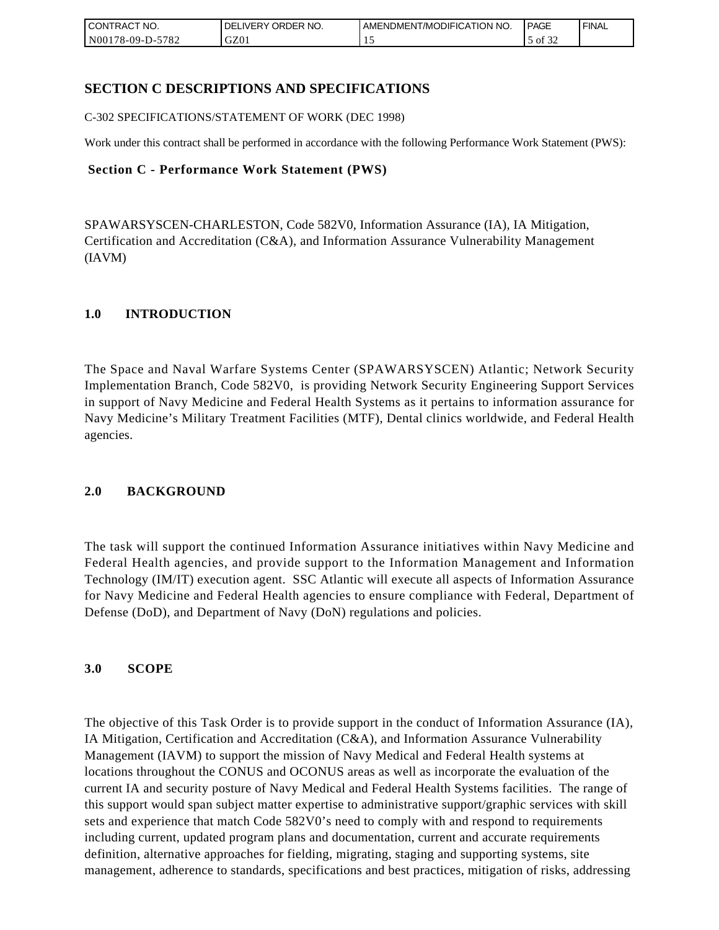| I CONTRACT NO.                                  | ORDER<br>NO.<br><b>DELIVERY</b> | AMENDMENT/MODIFICATION NO. | <b>PAGE</b>   | ' FINAL |
|-------------------------------------------------|---------------------------------|----------------------------|---------------|---------|
| N00 <sub>1</sub><br>5782<br>$3178 - 09 - D - 1$ | GZ01                            | . .                        | 0.25<br>of 32 |         |

# **SECTION C DESCRIPTIONS AND SPECIFICATIONS**

C-302 SPECIFICATIONS/STATEMENT OF WORK (DEC 1998)

Work under this contract shall be performed in accordance with the following Performance Work Statement (PWS):

### **Section C - Performance Work Statement (PWS)**

SPAWARSYSCEN-CHARLESTON, Code 582V0, Information Assurance (IA), IA Mitigation, Certification and Accreditation (C&A), and Information Assurance Vulnerability Management (IAVM)

### **1.0 INTRODUCTION**

The Space and Naval Warfare Systems Center (SPAWARSYSCEN) Atlantic; Network Security Implementation Branch, Code 582V0, is providing Network Security Engineering Support Services in support of Navy Medicine and Federal Health Systems as it pertains to information assurance for Navy Medicine's Military Treatment Facilities (MTF), Dental clinics worldwide, and Federal Health agencies.

### **2.0 BACKGROUND**

The task will support the continued Information Assurance initiatives within Navy Medicine and Federal Health agencies, and provide support to the Information Management and Information Technology (IM/IT) execution agent. SSC Atlantic will execute all aspects of Information Assurance for Navy Medicine and Federal Health agencies to ensure compliance with Federal, Department of Defense (DoD), and Department of Navy (DoN) regulations and policies.

### **3.0 SCOPE**

The objective of this Task Order is to provide support in the conduct of Information Assurance (IA), IA Mitigation, Certification and Accreditation (C&A), and Information Assurance Vulnerability Management (IAVM) to support the mission of Navy Medical and Federal Health systems at locations throughout the CONUS and OCONUS areas as well as incorporate the evaluation of the current IA and security posture of Navy Medical and Federal Health Systems facilities. The range of this support would span subject matter expertise to administrative support/graphic services with skill sets and experience that match Code 582V0's need to comply with and respond to requirements including current, updated program plans and documentation, current and accurate requirements definition, alternative approaches for fielding, migrating, staging and supporting systems, site management, adherence to standards, specifications and best practices, mitigation of risks, addressing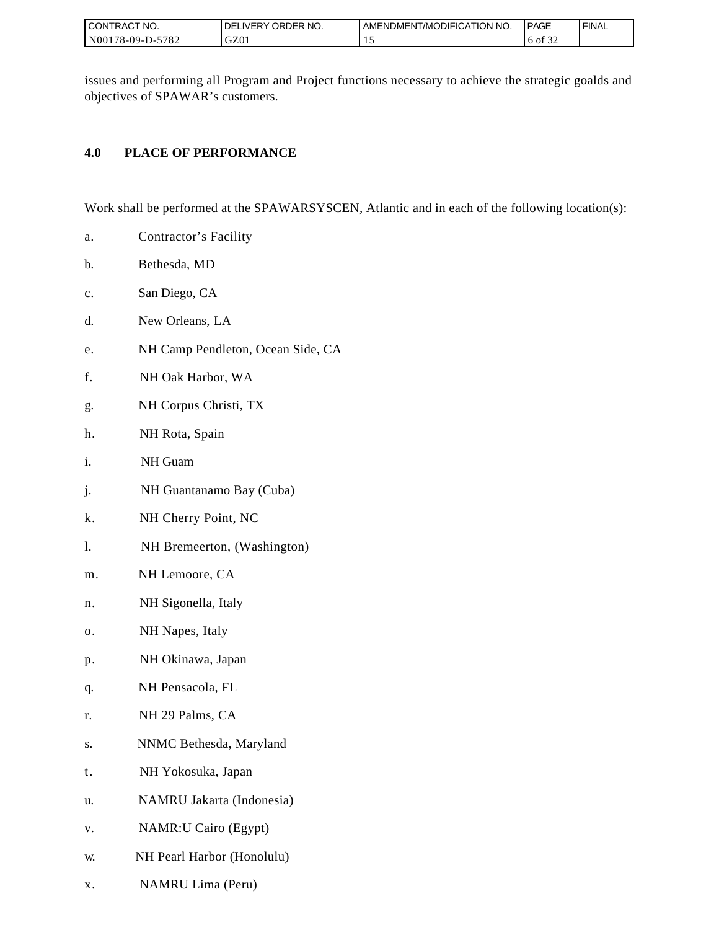| I CONTRACT NO.   | ORDER NO.<br><b>DELIVERY</b> | AMENDMENT/MODIFICATION NO. | PAGE                           | ' FINAL |
|------------------|------------------------------|----------------------------|--------------------------------|---------|
| N00178-09-D-5782 | GZ01                         |                            | $c \wedge c$<br>ΟĪ<br>.<br>ے ر |         |

issues and performing all Program and Project functions necessary to achieve the strategic goalds and objectives of SPAWAR's customers.

# **4.0 PLACE OF PERFORMANCE**

Work shall be performed at the SPAWARSYSCEN, Atlantic and in each of the following location(s):

- a. Contractor's Facility
- b. Bethesda, MD
- c. San Diego, CA
- d. New Orleans, LA
- e. NH Camp Pendleton, Ocean Side, CA
- f. NH Oak Harbor, WA
- g. NH Corpus Christi, TX
- h. NH Rota, Spain
- i. NH Guam
- j. NH Guantanamo Bay (Cuba)
- k. NH Cherry Point, NC
- l. NH Bremeerton, (Washington)
- m. NH Lemoore, CA
- n. NH Sigonella, Italy
- o. NH Napes, Italy
- p. NH Okinawa, Japan
- q. NH Pensacola, FL
- r. NH 29 Palms, CA
- s. NNMC Bethesda, Maryland
- t. NH Yokosuka, Japan
- u. NAMRU Jakarta (Indonesia)
- v. NAMR:U Cairo (Egypt)
- w. NH Pearl Harbor (Honolulu)
- x. NAMRU Lima (Peru)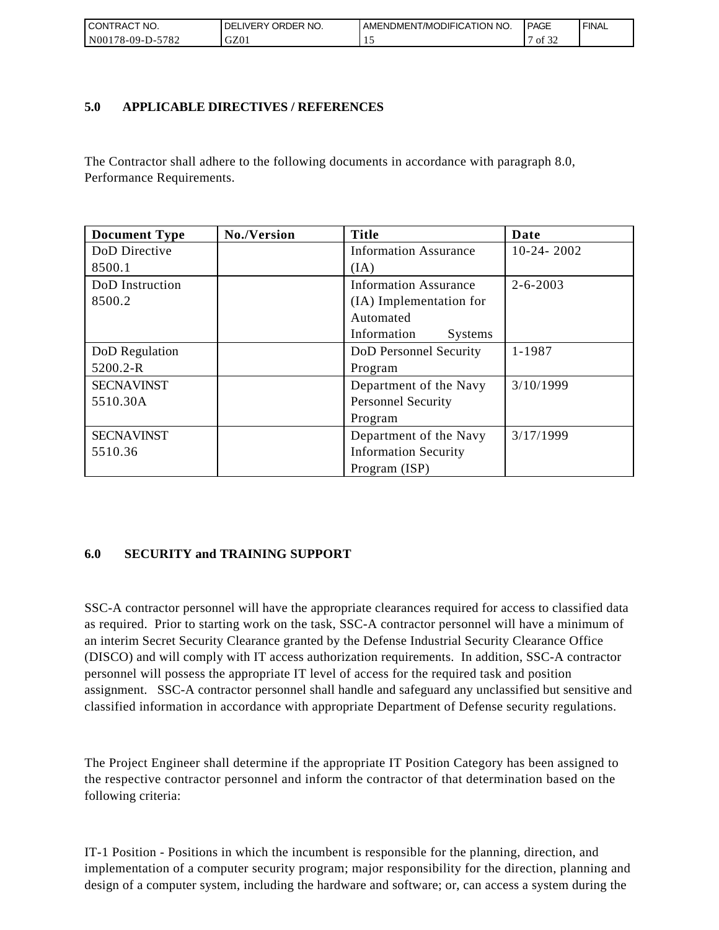| <b>CONTRACT NO.</b>                                   | ' ORDER NO.<br><b>DELIVERY</b> | AMENDMENT/MODIFICATION NO. | <b>PAGE</b>                  | ' FINAL |
|-------------------------------------------------------|--------------------------------|----------------------------|------------------------------|---------|
| N <sub>00</sub><br>5782<br>$^{\circ}178 - 09 - D - 5$ | GZ01                           |                            | $\sim$ $\sim$<br>` of<br>ے ر |         |

### **5.0 APPLICABLE DIRECTIVES / REFERENCES**

The Contractor shall adhere to the following documents in accordance with paragraph 8.0, Performance Requirements.

| <b>Document Type</b> | No./Version | <b>Title</b>                  | Date           |
|----------------------|-------------|-------------------------------|----------------|
| DoD Directive        |             | <b>Information Assurance</b>  | $10-24-2002$   |
| 8500.1               |             | (IA)                          |                |
| DoD Instruction      |             | <b>Information Assurance</b>  | $2 - 6 - 2003$ |
| 8500.2               |             | (IA) Implementation for       |                |
|                      |             | Automated                     |                |
|                      |             | Information<br><b>Systems</b> |                |
| DoD Regulation       |             | DoD Personnel Security        | 1-1987         |
| 5200.2-R             |             | Program                       |                |
| <b>SECNAVINST</b>    |             | Department of the Navy        | 3/10/1999      |
| 5510.30A             |             | <b>Personnel Security</b>     |                |
|                      |             | Program                       |                |
| <b>SECNAVINST</b>    |             | Department of the Navy        | 3/17/1999      |
| 5510.36              |             | <b>Information Security</b>   |                |
|                      |             | Program (ISP)                 |                |

# **6.0 SECURITY and TRAINING SUPPORT**

SSC-A contractor personnel will have the appropriate clearances required for access to classified data as required. Prior to starting work on the task, SSC-A contractor personnel will have a minimum of an interim Secret Security Clearance granted by the Defense Industrial Security Clearance Office (DISCO) and will comply with IT access authorization requirements. In addition, SSC-A contractor personnel will possess the appropriate IT level of access for the required task and position assignment. SSC-A contractor personnel shall handle and safeguard any unclassified but sensitive and classified information in accordance with appropriate Department of Defense security regulations.

The Project Engineer shall determine if the appropriate IT Position Category has been assigned to the respective contractor personnel and inform the contractor of that determination based on the following criteria:

IT-1 Position - Positions in which the incumbent is responsible for the planning, direction, and implementation of a computer security program; major responsibility for the direction, planning and design of a computer system, including the hardware and software; or, can access a system during the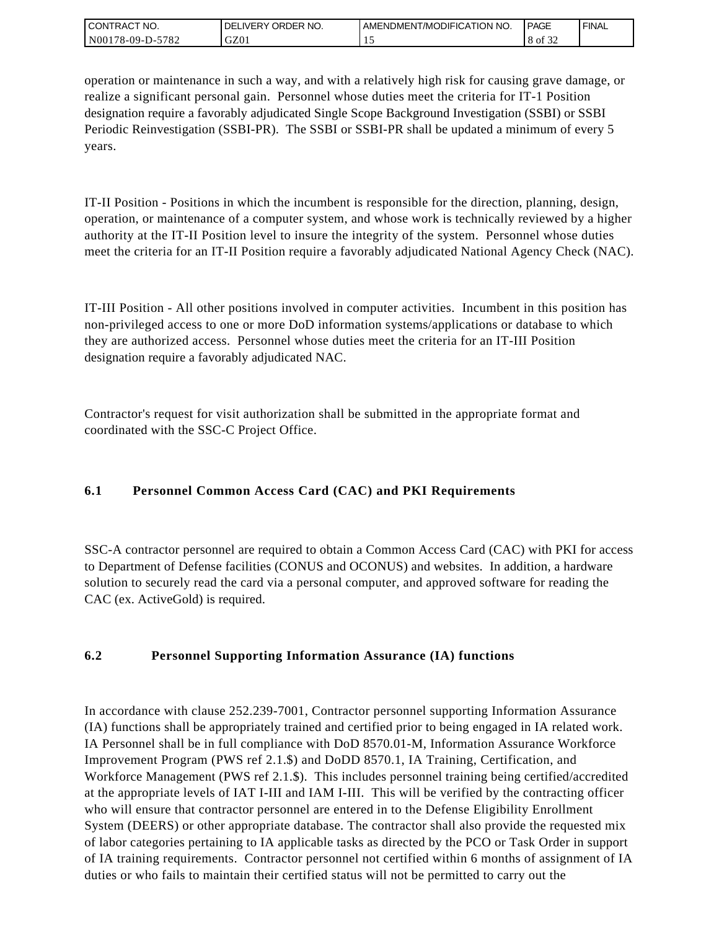| I CONTRACT NO.   | ' ORDER NO.<br>_IVERY<br>DELI | AMENDMENT/MODIFICATION NO. | <b>PAGE</b> | `FINAL |
|------------------|-------------------------------|----------------------------|-------------|--------|
| N00178-09-D-5782 | GZ01                          |                            | 8 of<br>ے ر |        |

operation or maintenance in such a way, and with a relatively high risk for causing grave damage, or realize a significant personal gain. Personnel whose duties meet the criteria for IT-1 Position designation require a favorably adjudicated Single Scope Background Investigation (SSBI) or SSBI Periodic Reinvestigation (SSBI-PR). The SSBI or SSBI-PR shall be updated a minimum of every 5 years.

IT-II Position - Positions in which the incumbent is responsible for the direction, planning, design, operation, or maintenance of a computer system, and whose work is technically reviewed by a higher authority at the IT-II Position level to insure the integrity of the system. Personnel whose duties meet the criteria for an IT-II Position require a favorably adjudicated National Agency Check (NAC).

IT-III Position - All other positions involved in computer activities. Incumbent in this position has non-privileged access to one or more DoD information systems/applications or database to which they are authorized access. Personnel whose duties meet the criteria for an IT-III Position designation require a favorably adjudicated NAC.

Contractor's request for visit authorization shall be submitted in the appropriate format and coordinated with the SSC-C Project Office.

# **6.1 Personnel Common Access Card (CAC) and PKI Requirements**

SSC-A contractor personnel are required to obtain a Common Access Card (CAC) with PKI for access to Department of Defense facilities (CONUS and OCONUS) and websites. In addition, a hardware solution to securely read the card via a personal computer, and approved software for reading the CAC (ex. ActiveGold) is required.

# **6.2 Personnel Supporting Information Assurance (IA) functions**

In accordance with clause 252.239-7001, Contractor personnel supporting Information Assurance (IA) functions shall be appropriately trained and certified prior to being engaged in IA related work. IA Personnel shall be in full compliance with DoD 8570.01-M, Information Assurance Workforce Improvement Program (PWS ref 2.1.\$) and DoDD 8570.1, IA Training, Certification, and Workforce Management (PWS ref 2.1.\$). This includes personnel training being certified/accredited at the appropriate levels of IAT I-III and IAM I-III. This will be verified by the contracting officer who will ensure that contractor personnel are entered in to the Defense Eligibility Enrollment System (DEERS) or other appropriate database. The contractor shall also provide the requested mix of labor categories pertaining to IA applicable tasks as directed by the PCO or Task Order in support of IA training requirements. Contractor personnel not certified within 6 months of assignment of IA duties or who fails to maintain their certified status will not be permitted to carry out the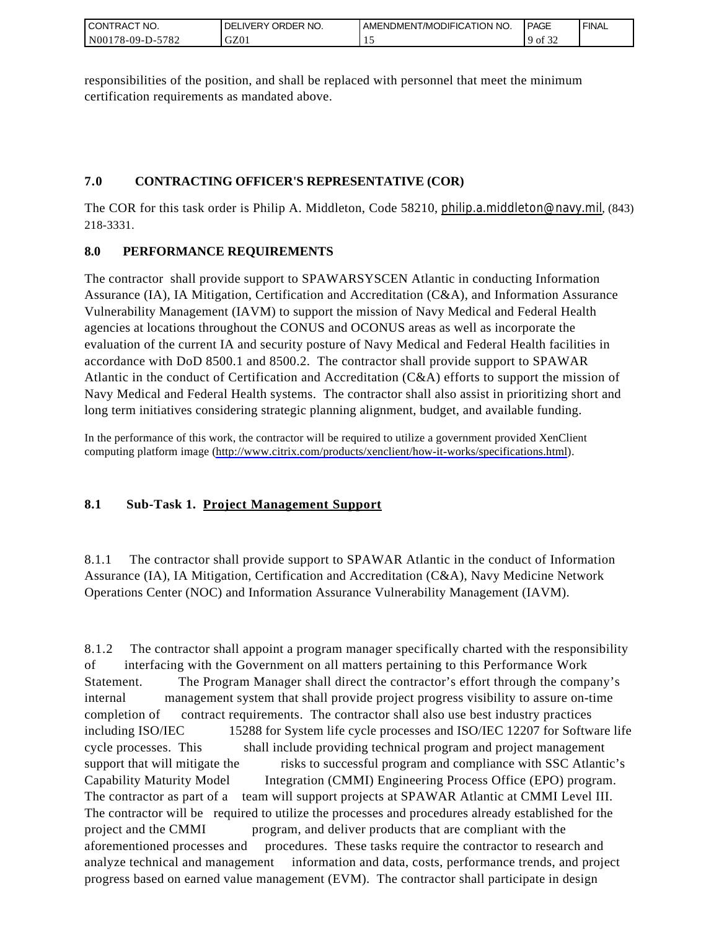| I CONTRACT NO.         | ORDER<br>NO.<br><b>DELIVERY</b> | AMENDMENT/MODIFICATION NO. | <b>PAGE</b>         | ' FINAL |
|------------------------|---------------------------------|----------------------------|---------------------|---------|
| N00178-09-D-5<br>-5782 | GZ01                            | . .                        | 0.25<br>$9$ of $34$ |         |

responsibilities of the position, and shall be replaced with personnel that meet the minimum certification requirements as mandated above.

# **7.0 CONTRACTING OFFICER'S REPRESENTATIVE (COR)**

The COR for this task order is Philip A. Middleton, Code 58210, [philip.a.middleton@navy.mil](mailto:cphilip.a.middleton@navy.mil), (843) 218-3331.

# **8.0 PERFORMANCE REQUIREMENTS**

The contractor shall provide support to SPAWARSYSCEN Atlantic in conducting Information Assurance (IA), IA Mitigation, Certification and Accreditation (C&A), and Information Assurance Vulnerability Management (IAVM) to support the mission of Navy Medical and Federal Health agencies at locations throughout the CONUS and OCONUS areas as well as incorporate the evaluation of the current IA and security posture of Navy Medical and Federal Health facilities in accordance with DoD 8500.1 and 8500.2. The contractor shall provide support to SPAWAR Atlantic in the conduct of Certification and Accreditation (C&A) efforts to support the mission of Navy Medical and Federal Health systems. The contractor shall also assist in prioritizing short and long term initiatives considering strategic planning alignment, budget, and available funding.

In the performance of this work, the contractor will be required to utilize a government provided XenClient computing platform image [\(http://www.citrix.com/products/xenclient/how-it-works/specifications.html\)](http://www.citrix.com/products/xenclient/how-it-works/specifications.html).

# **8.1 Sub-Task 1. Project Management Support**

8.1.1 The contractor shall provide support to SPAWAR Atlantic in the conduct of Information Assurance (IA), IA Mitigation, Certification and Accreditation (C&A), Navy Medicine Network Operations Center (NOC) and Information Assurance Vulnerability Management (IAVM).

8.1.2 The contractor shall appoint a program manager specifically charted with the responsibility of interfacing with the Government on all matters pertaining to this Performance Work Statement. The Program Manager shall direct the contractor's effort through the company's internal management system that shall provide project progress visibility to assure on-time completion of contract requirements. The contractor shall also use best industry practices including ISO/IEC 15288 for System life cycle processes and ISO/IEC 12207 for Software life cycle processes. This shall include providing technical program and project management support that will mitigate the risks to successful program and compliance with SSC Atlantic's Capability Maturity Model Integration (CMMI) Engineering Process Office (EPO) program. The contractor as part of a team will support projects at SPAWAR Atlantic at CMMI Level III. The contractor will be required to utilize the processes and procedures already established for the project and the CMMI program, and deliver products that are compliant with the aforementioned processes and procedures. These tasks require the contractor to research and analyze technical and management information and data, costs, performance trends, and project progress based on earned value management (EVM). The contractor shall participate in design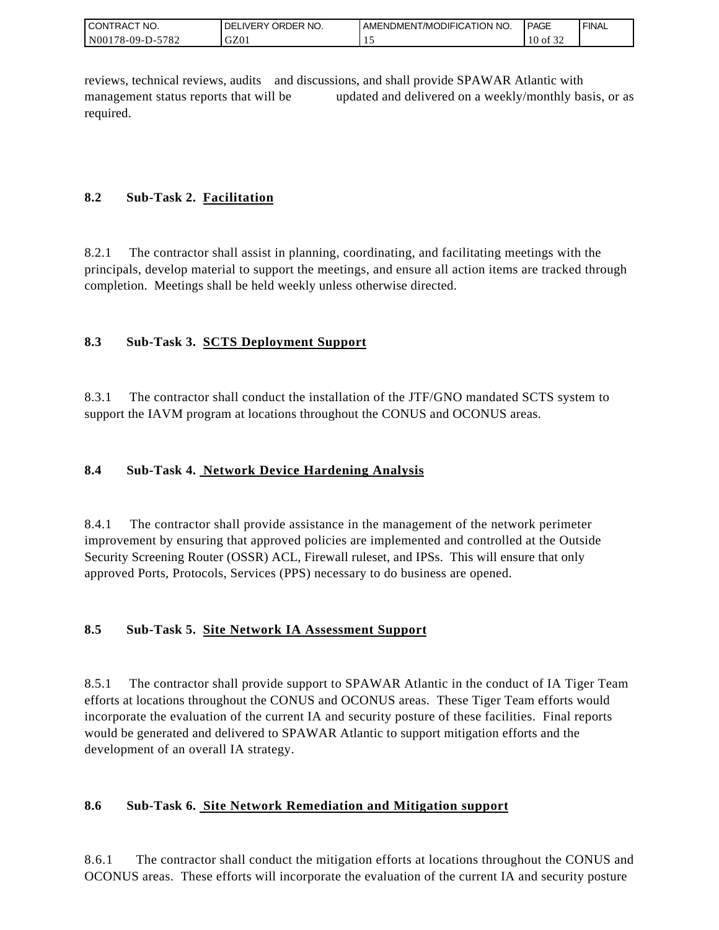| I CONTRACT NO.   | ' ORDER NO.<br><b>DELIVERY</b> | I AMENDMENT/MODIFICATION NO. | <b>PAGE</b>                         | ' FINAL |
|------------------|--------------------------------|------------------------------|-------------------------------------|---------|
| N00178-09-D-5782 | GZ0                            |                              | $\sim$ $\sim$ $\sim$<br>10<br>of 32 |         |

reviews, technical reviews, audits and discussions, and shall provide SPAWAR Atlantic with management status reports that will be updated and delivered on a weekly/monthly basis, or as required.

# **8.2 Sub-Task 2. Facilitation**

8.2.1 The contractor shall assist in planning, coordinating, and facilitating meetings with the principals, develop material to support the meetings, and ensure all action items are tracked through completion. Meetings shall be held weekly unless otherwise directed.

# **8.3 Sub-Task 3. SCTS Deployment Support**

8.3.1 The contractor shall conduct the installation of the JTF/GNO mandated SCTS system to support the IAVM program at locations throughout the CONUS and OCONUS areas.

# **8.4 Sub-Task 4. Network Device Hardening Analysis**

8.4.1 The contractor shall provide assistance in the management of the network perimeter improvement by ensuring that approved policies are implemented and controlled at the Outside Security Screening Router (OSSR) ACL, Firewall ruleset, and IPSs. This will ensure that only approved Ports, Protocols, Services (PPS) necessary to do business are opened.

# **8.5 Sub-Task 5. Site Network IA Assessment Support**

8.5.1 The contractor shall provide support to SPAWAR Atlantic in the conduct of IA Tiger Team efforts at locations throughout the CONUS and OCONUS areas. These Tiger Team efforts would incorporate the evaluation of the current IA and security posture of these facilities. Final reports would be generated and delivered to SPAWAR Atlantic to support mitigation efforts and the development of an overall IA strategy.

# **8.6 Sub-Task 6. Site Network Remediation and Mitigation support**

8.6.1 The contractor shall conduct the mitigation efforts at locations throughout the CONUS and OCONUS areas. These efforts will incorporate the evaluation of the current IA and security posture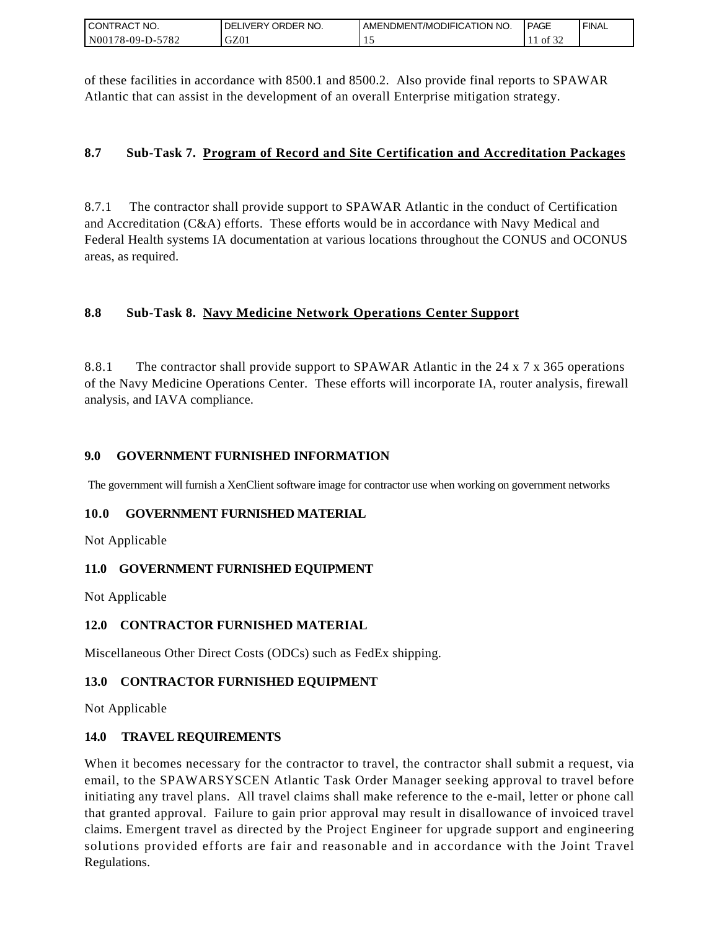| I CONTRACT NO.   | ' NO.<br><b>DELIVERY ORDER</b> | AMENDMENT/MODIFICATION NO. | <b>I PAGE</b> | ' FINAL |
|------------------|--------------------------------|----------------------------|---------------|---------|
| N00178-09-D-5782 | GZ01                           |                            | 0.25<br>ΟĪ    |         |

of these facilities in accordance with 8500.1 and 8500.2. Also provide final reports to SPAWAR Atlantic that can assist in the development of an overall Enterprise mitigation strategy.

### **8.7 Sub-Task 7. Program of Record and Site Certification and Accreditation Packages**

8.7.1 The contractor shall provide support to SPAWAR Atlantic in the conduct of Certification and Accreditation (C&A) efforts. These efforts would be in accordance with Navy Medical and Federal Health systems IA documentation at various locations throughout the CONUS and OCONUS areas, as required.

# **8.8 Sub-Task 8. Navy Medicine Network Operations Center Support**

8.8.1 The contractor shall provide support to SPAWAR Atlantic in the 24 x 7 x 365 operations of the Navy Medicine Operations Center. These efforts will incorporate IA, router analysis, firewall analysis, and IAVA compliance.

### **9.0 GOVERNMENT FURNISHED INFORMATION**

The government will furnish a XenClient software image for contractor use when working on government networks

### **10.0 GOVERNMENT FURNISHED MATERIAL**

Not Applicable

### **11.0 GOVERNMENT FURNISHED EQUIPMENT**

Not Applicable

### **12.0 CONTRACTOR FURNISHED MATERIAL**

Miscellaneous Other Direct Costs (ODCs) such as FedEx shipping.

### **13.0 CONTRACTOR FURNISHED EQUIPMENT**

Not Applicable

### **14.0 TRAVEL REQUIREMENTS**

CONTRACT NO.<br>
NO0178-09-D-5<br>
SONTRACT NO.<br>
NO0178-09-D-5<br>
Of these facilit<br>
Atlantic that of<br>
8.7. Sub-T<br>
8.7. Sub-T<br>
8.8. Sub-T<br>
8.8. Sub-T<br>
8.8. Sub-T<br>
8.8. Sub-T<br>
8.8. Sub-T<br>
9.0 GOVEF<br>
The governmen<br>
10.0 GOVEF<br>
Not Ap When it becomes necessary for the contractor to travel, the contractor shall submit a request, via email, to the SPAWARSYSCEN Atlantic Task Order Manager seeking approval to travel before initiating any travel plans. All travel claims shall make reference to the e-mail, letter or phone call that granted approval. Failure to gain prior approval may result in disallowance of invoiced travel claims. Emergent travel as directed by the Project Engineer for upgrade support and engineering solutions provided efforts are fair and reasonable and in accordance with the Joint Travel Regulations.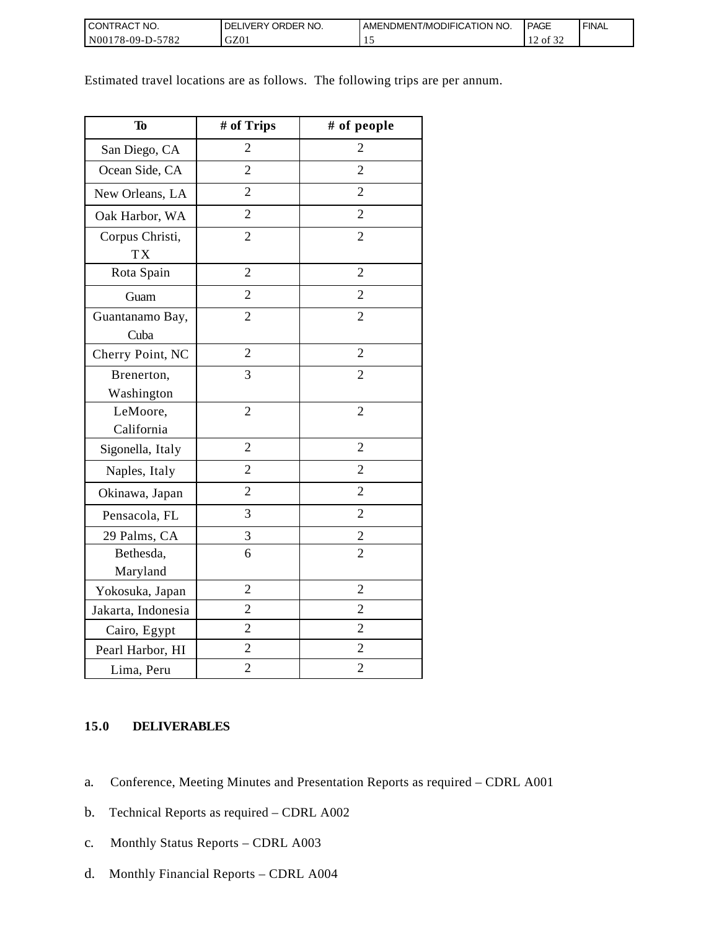| I CONTRACT NO.           | `NO.<br><b>DELIVERY ORDER</b> | AMENDMENT/MODIFICATION NO. | <b>PAGE</b>                        | ' FINAL |
|--------------------------|-------------------------------|----------------------------|------------------------------------|---------|
| $N00178-09-D-5$<br>-5782 | GZ01                          | . .                        | $\sim$ $\sim$ $\sim$<br>of 32<br>∸ |         |

Estimated travel locations are as follows. The following trips are per annum.

| To                           | # of Trips     | # of people    |
|------------------------------|----------------|----------------|
| San Diego, CA                | $\overline{2}$ | 2              |
| Ocean Side, CA               | $\overline{2}$ | $\overline{2}$ |
| New Orleans, LA              | $\overline{2}$ | $\overline{2}$ |
| Oak Harbor, WA               | $\overline{2}$ | $\overline{2}$ |
| Corpus Christi,<br><b>TX</b> | $\overline{2}$ | $\overline{2}$ |
| Rota Spain                   | $\overline{2}$ | $\overline{2}$ |
| Guam                         | $\overline{2}$ | $\overline{2}$ |
| Guantanamo Bay,<br>Cuba      | $\overline{2}$ | $\overline{2}$ |
| Cherry Point, NC             | $\overline{2}$ | $\overline{2}$ |
| Brenerton,<br>Washington     | 3              | $\overline{2}$ |
| LeMoore,<br>California       | $\overline{2}$ | $\overline{2}$ |
| Sigonella, Italy             | $\overline{2}$ | $\overline{2}$ |
| Naples, Italy                | $\overline{2}$ | $\overline{2}$ |
| Okinawa, Japan               | $\overline{2}$ | $\overline{2}$ |
| Pensacola, FL                | 3              | $\overline{2}$ |
| 29 Palms, CA                 | 3              | $\overline{c}$ |
| Bethesda,<br>Maryland        | 6              | $\overline{2}$ |
| Yokosuka, Japan              | $\overline{2}$ | $\overline{2}$ |
| Jakarta, Indonesia           | $\overline{2}$ | $\overline{2}$ |
| Cairo, Egypt                 | $\overline{2}$ | $\overline{2}$ |
| Pearl Harbor, HI             | $\overline{2}$ | $\overline{2}$ |
| Lima, Peru                   | $\overline{2}$ | $\overline{2}$ |

### **15.0 DELIVERABLES**

- a. Conference, Meeting Minutes and Presentation Reports as required CDRL A001
- b. Technical Reports as required CDRL A002
- c. Monthly Status Reports CDRL A003
- d. Monthly Financial Reports CDRL A004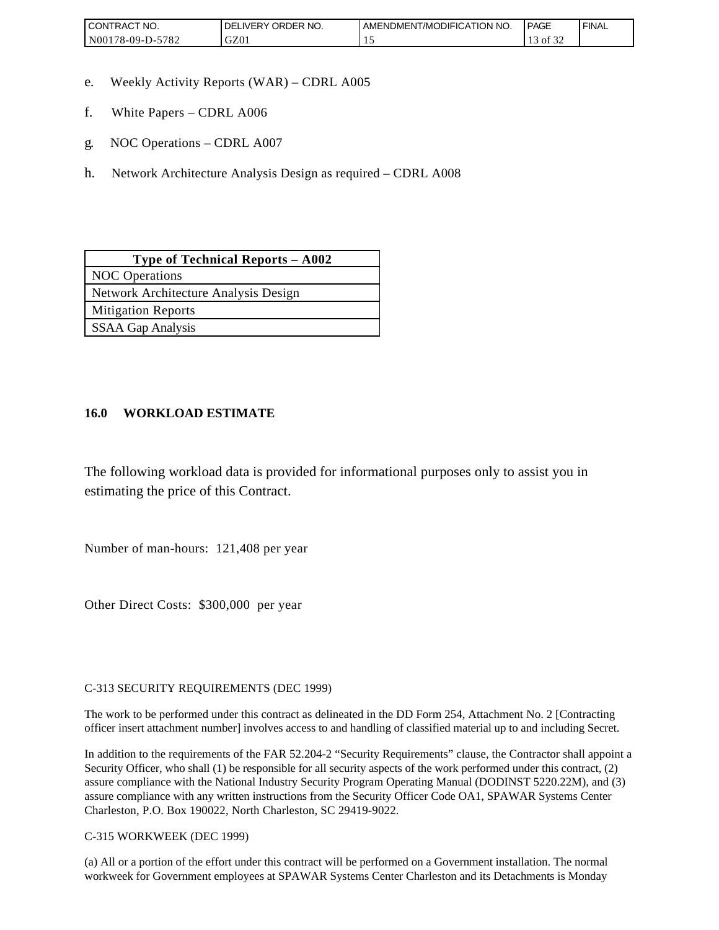| <b>CONTRACT NO.</b>    | ' ORDER NO.<br><b>DELIVERY</b> | AMENDMENT/MODIFICATION NO. | <b>PAGE</b>       | ' FINAL |
|------------------------|--------------------------------|----------------------------|-------------------|---------|
| N00178-09-D-5<br>-5782 | GZ01                           | . .                        | 0.22<br>ΟĪ<br>ے ر |         |

- e. Weekly Activity Reports (WAR) CDRL A005
- f. White Papers CDRL A006
- g. NOC Operations CDRL A007
- h. Network Architecture Analysis Design as required CDRL A008

| Type of Technical Reports - A002     |  |  |
|--------------------------------------|--|--|
| <b>NOC</b> Operations                |  |  |
| Network Architecture Analysis Design |  |  |
| <b>Mitigation Reports</b>            |  |  |
| <b>SSAA Gap Analysis</b>             |  |  |

### **16.0 WORKLOAD ESTIMATE**

The following workload data is provided for informational purposes only to assist you in estimating the price of this Contract.

Number of man-hours: 121,408 per year

Other Direct Costs: \$300,000 per year

C-313 SECURITY REQUIREMENTS (DEC 1999)

The work to be performed under this contract as delineated in the DD Form 254, Attachment No. 2 [Contracting officer insert attachment number] involves access to and handling of classified material up to and including Secret.

In addition to the requirements of the FAR 52.204-2 "Security Requirements" clause, the Contractor shall appoint a Security Officer, who shall (1) be responsible for all security aspects of the work performed under this contract, (2) assure compliance with the National Industry Security Program Operating Manual (DODINST 5220.22M), and (3) assure compliance with any written instructions from the Security Officer Code OA1, SPAWAR Systems Center Charleston, P.O. Box 190022, North Charleston, SC 29419-9022.

C-315 WORKWEEK (DEC 1999)

(a) All or a portion of the effort under this contract will be performed on a Government installation. The normal workweek for Government employees at SPAWAR Systems Center Charleston and its Detachments is Monday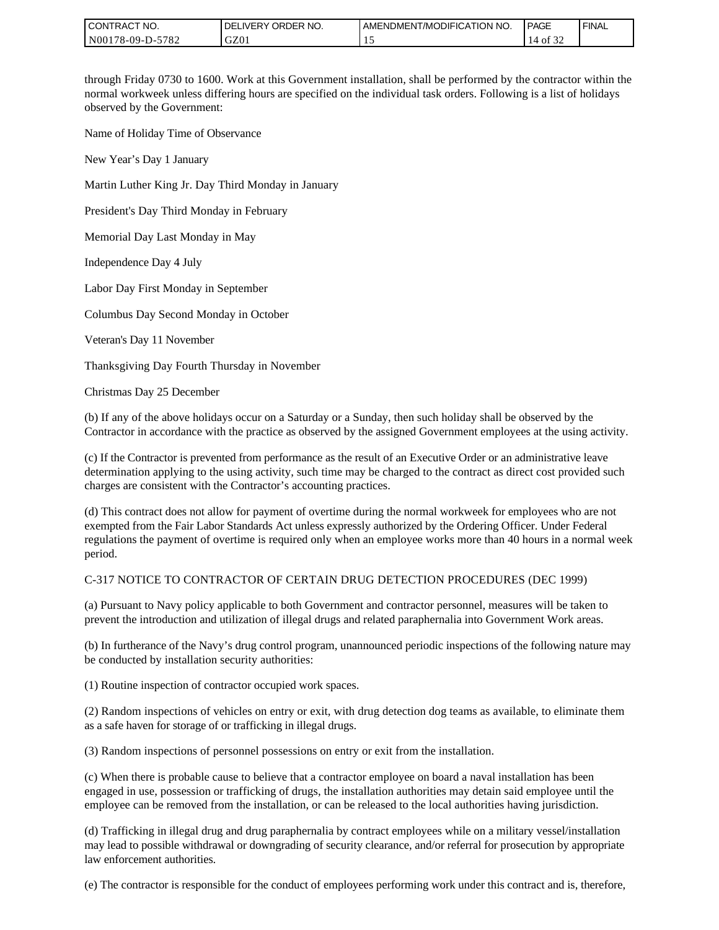| I CONTRACT NO.   | I DELIVERY ORDER NO. | I AMENDMENT/MODIFICATION NO. | <b>PAGE</b>                      | ' FINAL |
|------------------|----------------------|------------------------------|----------------------------------|---------|
| N00178-09-D-5782 | GZ0                  |                              | $\sim$ $\sim$ $\sim$<br>14 of 32 |         |

through Friday 0730 to 1600. Work at this Government installation, shall be performed by the contractor within the normal workweek unless differing hours are specified on the individual task orders. Following is a list of holidays observed by the Government:

Name of Holiday Time of Observance

New Year's Day 1 January

Martin Luther King Jr. Day Third Monday in January

President's Day Third Monday in February

Memorial Day Last Monday in May

Independence Day 4 July

Labor Day First Monday in September

Columbus Day Second Monday in October

Veteran's Day 11 November

Thanksgiving Day Fourth Thursday in November

Christmas Day 25 December

(b) If any of the above holidays occur on a Saturday or a Sunday, then such holiday shall be observed by the Contractor in accordance with the practice as observed by the assigned Government employees at the using activity.

(c) If the Contractor is prevented from performance as the result of an Executive Order or an administrative leave determination applying to the using activity, such time may be charged to the contract as direct cost provided such charges are consistent with the Contractor's accounting practices.

(d) This contract does not allow for payment of overtime during the normal workweek for employees who are not exempted from the Fair Labor Standards Act unless expressly authorized by the Ordering Officer. Under Federal regulations the payment of overtime is required only when an employee works more than 40 hours in a normal week period.

#### C-317 NOTICE TO CONTRACTOR OF CERTAIN DRUG DETECTION PROCEDURES (DEC 1999)

(a) Pursuant to Navy policy applicable to both Government and contractor personnel, measures will be taken to prevent the introduction and utilization of illegal drugs and related paraphernalia into Government Work areas.

(b) In furtherance of the Navy's drug control program, unannounced periodic inspections of the following nature may be conducted by installation security authorities:

(1) Routine inspection of contractor occupied work spaces.

(2) Random inspections of vehicles on entry or exit, with drug detection dog teams as available, to eliminate them as a safe haven for storage of or trafficking in illegal drugs.

(3) Random inspections of personnel possessions on entry or exit from the installation.

(c) When there is probable cause to believe that a contractor employee on board a naval installation has been engaged in use, possession or trafficking of drugs, the installation authorities may detain said employee until the employee can be removed from the installation, or can be released to the local authorities having jurisdiction.

(d) Trafficking in illegal drug and drug paraphernalia by contract employees while on a military vessel/installation may lead to possible withdrawal or downgrading of security clearance, and/or referral for prosecution by appropriate law enforcement authorities.

(e) The contractor is responsible for the conduct of employees performing work under this contract and is, therefore,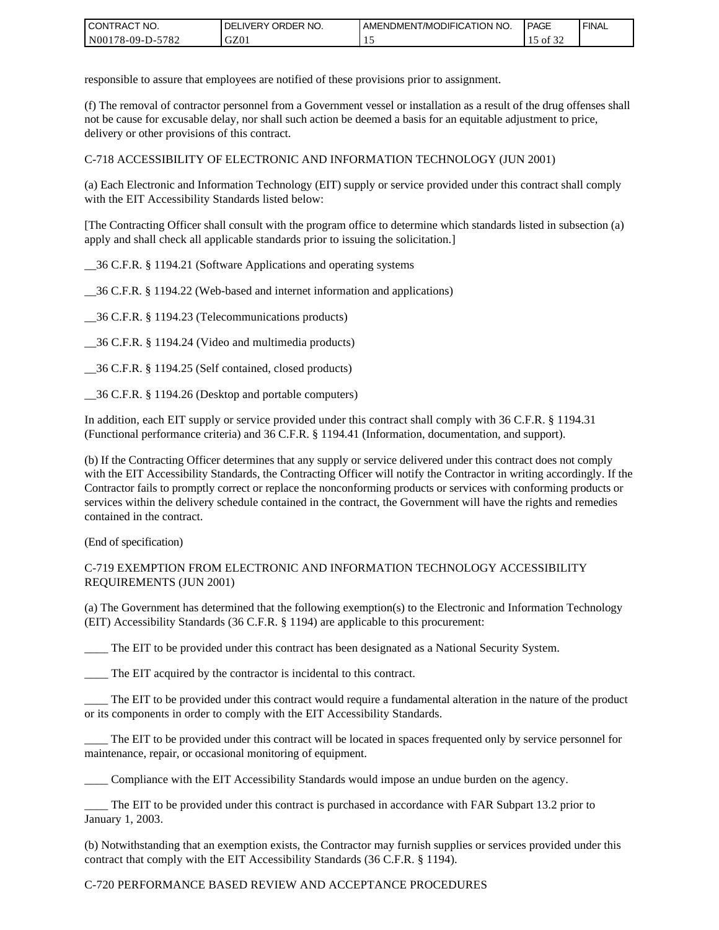| I CONTRACT NO.         | ORDER<br>NO.<br><b>DELIVERY</b> | AMENDMENT/MODIFICATION NO. | <b>PAGE</b>                | ' FINAL |
|------------------------|---------------------------------|----------------------------|----------------------------|---------|
| N00178-09-D-5<br>-5782 | GZ01                            | . .                        | $\sim$ $\sim$ $\sim$<br>ΟĪ |         |

responsible to assure that employees are notified of these provisions prior to assignment.

(f) The removal of contractor personnel from a Government vessel or installation as a result of the drug offenses shall not be cause for excusable delay, nor shall such action be deemed a basis for an equitable adjustment to price, delivery or other provisions of this contract.

C-718 ACCESSIBILITY OF ELECTRONIC AND INFORMATION TECHNOLOGY (JUN 2001)

(a) Each Electronic and Information Technology (EIT) supply or service provided under this contract shall comply with the EIT Accessibility Standards listed below:

[The Contracting Officer shall consult with the program office to determine which standards listed in subsection (a) apply and shall check all applicable standards prior to issuing the solicitation.]

\_\_36 C.F.R. § 1194.21 (Software Applications and operating systems

\_\_36 C.F.R. § 1194.22 (Web-based and internet information and applications)

\_\_36 C.F.R. § 1194.23 (Telecommunications products)

\_\_36 C.F.R. § 1194.24 (Video and multimedia products)

\_\_36 C.F.R. § 1194.25 (Self contained, closed products)

\_\_36 C.F.R. § 1194.26 (Desktop and portable computers)

In addition, each EIT supply or service provided under this contract shall comply with 36 C.F.R. § 1194.31 (Functional performance criteria) and 36 C.F.R. § 1194.41 (Information, documentation, and support).

(b) If the Contracting Officer determines that any supply or service delivered under this contract does not comply with the EIT Accessibility Standards, the Contracting Officer will notify the Contractor in writing accordingly. If the Contractor fails to promptly correct or replace the nonconforming products or services with conforming products or services within the delivery schedule contained in the contract, the Government will have the rights and remedies contained in the contract.

(End of specification)

#### C-719 EXEMPTION FROM ELECTRONIC AND INFORMATION TECHNOLOGY ACCESSIBILITY REQUIREMENTS (JUN 2001)

(a) The Government has determined that the following exemption(s) to the Electronic and Information Technology (EIT) Accessibility Standards (36 C.F.R. § 1194) are applicable to this procurement:

The EIT to be provided under this contract has been designated as a National Security System.

\_\_\_\_ The EIT acquired by the contractor is incidental to this contract.

\_\_\_\_ The EIT to be provided under this contract would require a fundamental alteration in the nature of the product or its components in order to comply with the EIT Accessibility Standards.

The EIT to be provided under this contract will be located in spaces frequented only by service personnel for maintenance, repair, or occasional monitoring of equipment.

\_\_\_\_ Compliance with the EIT Accessibility Standards would impose an undue burden on the agency.

\_\_\_\_ The EIT to be provided under this contract is purchased in accordance with FAR Subpart 13.2 prior to January 1, 2003.

(b) Notwithstanding that an exemption exists, the Contractor may furnish supplies or services provided under this contract that comply with the EIT Accessibility Standards (36 C.F.R. § 1194).

#### C-720 PERFORMANCE BASED REVIEW AND ACCEPTANCE PROCEDURES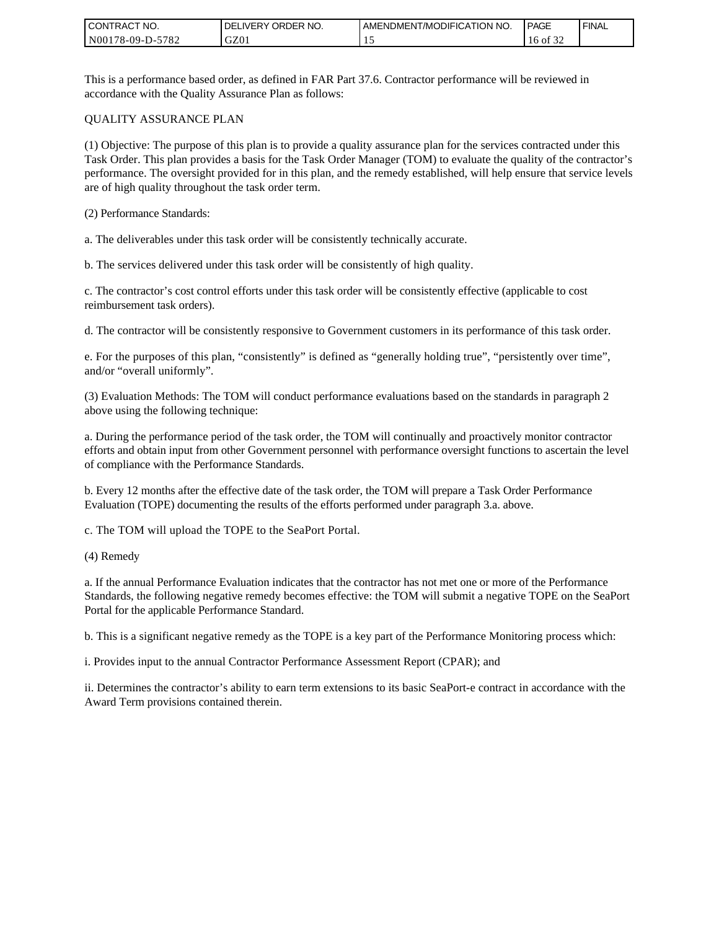| <b>CONTRACT NO.</b> | <b>IDELIVERY ORDER NO.</b> | AMENDMENT/MODIFICATION NO. | <b>PAGE</b>              | ' FINAL |
|---------------------|----------------------------|----------------------------|--------------------------|---------|
| N00178-09-D-5782    | GZ01                       |                            | 0.25<br>0Ī<br>16.<br>ے ر |         |

This is a performance based order, as defined in FAR Part 37.6. Contractor performance will be reviewed in accordance with the Quality Assurance Plan as follows:

#### QUALITY ASSURANCE PLAN

(1) Objective: The purpose of this plan is to provide a quality assurance plan for the services contracted under this Task Order. This plan provides a basis for the Task Order Manager (TOM) to evaluate the quality of the contractor's performance. The oversight provided for in this plan, and the remedy established, will help ensure that service levels are of high quality throughout the task order term.

(2) Performance Standards:

a. The deliverables under this task order will be consistently technically accurate.

b. The services delivered under this task order will be consistently of high quality.

c. The contractor's cost control efforts under this task order will be consistently effective (applicable to cost reimbursement task orders).

d. The contractor will be consistently responsive to Government customers in its performance of this task order.

e. For the purposes of this plan, "consistently" is defined as "generally holding true", "persistently over time", and/or "overall uniformly".

(3) Evaluation Methods: The TOM will conduct performance evaluations based on the standards in paragraph 2 above using the following technique:

a. During the performance period of the task order, the TOM will continually and proactively monitor contractor efforts and obtain input from other Government personnel with performance oversight functions to ascertain the level of compliance with the Performance Standards.

b. Every 12 months after the effective date of the task order, the TOM will prepare a Task Order Performance Evaluation (TOPE) documenting the results of the efforts performed under paragraph 3.a. above.

c. The TOM will upload the TOPE to the SeaPort Portal.

(4) Remedy

a. If the annual Performance Evaluation indicates that the contractor has not met one or more of the Performance Standards, the following negative remedy becomes effective: the TOM will submit a negative TOPE on the SeaPort Portal for the applicable Performance Standard.

b. This is a significant negative remedy as the TOPE is a key part of the Performance Monitoring process which:

i. Provides input to the annual Contractor Performance Assessment Report (CPAR); and

ii. Determines the contractor's ability to earn term extensions to its basic SeaPort-e contract in accordance with the Award Term provisions contained therein.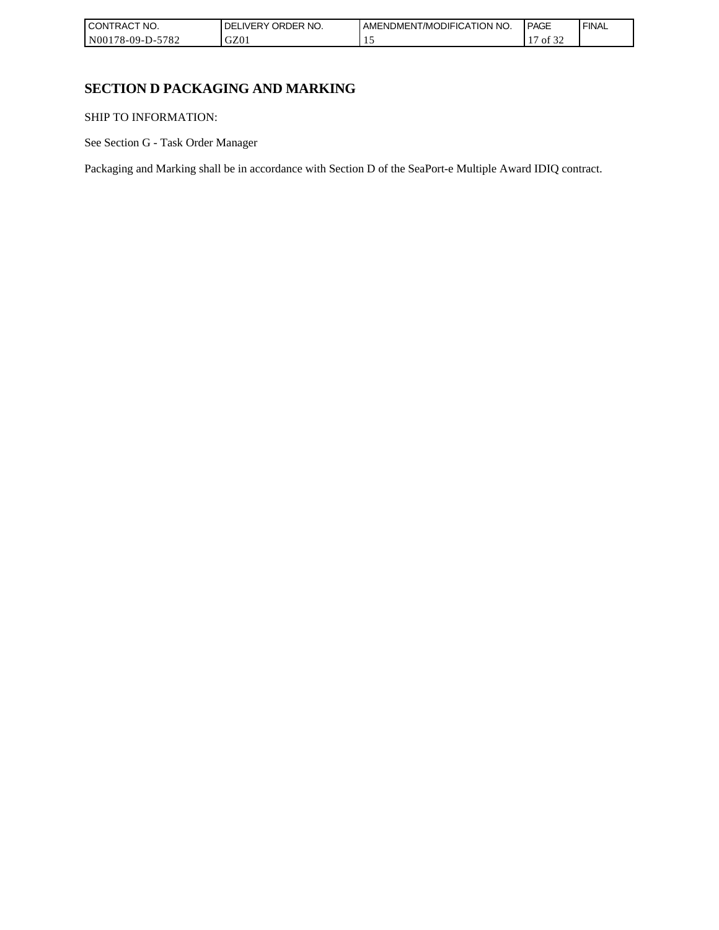| <b>CONTRACT</b><br>'NO.                      | ORDER NO.<br>DE<br><b>IVERY</b> | AMENDMENT/MODIFICATION NO. | <b>PAGE</b>                | <b>FINAL</b> |
|----------------------------------------------|---------------------------------|----------------------------|----------------------------|--------------|
| 5700<br>N00178-09-I<br>D-:<br>$'$ O $\angle$ | GZ01                            | . .                        | $\sim$<br>. .<br>Οİ<br>-24 |              |

# **SECTION D PACKAGING AND MARKING**

SHIP TO INFORMATION:

See Section G - Task Order Manager

Packaging and Marking shall be in accordance with Section D of the SeaPort-e Multiple Award IDIQ contract.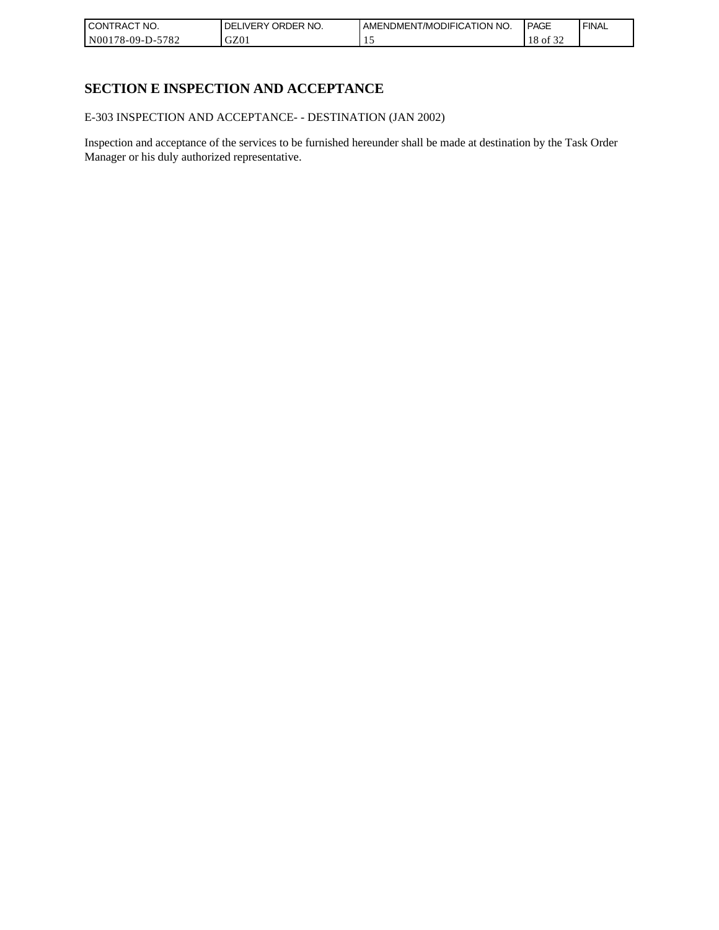| <b>CONTRACT NO.</b> | I DELIVERY ORDER NO. | AMENDMENT/MODIFICATION NO. | PAGE                    | ' FINAL |
|---------------------|----------------------|----------------------------|-------------------------|---------|
| N00178-09-D-5782    | GZ01                 |                            | 0.22<br>ΟĪ<br>10<br>ے ر |         |

# **SECTION E INSPECTION AND ACCEPTANCE**

E-303 INSPECTION AND ACCEPTANCE- - DESTINATION (JAN 2002)

Inspection and acceptance of the services to be furnished hereunder shall be made at destination by the Task Order Manager or his duly authorized representative.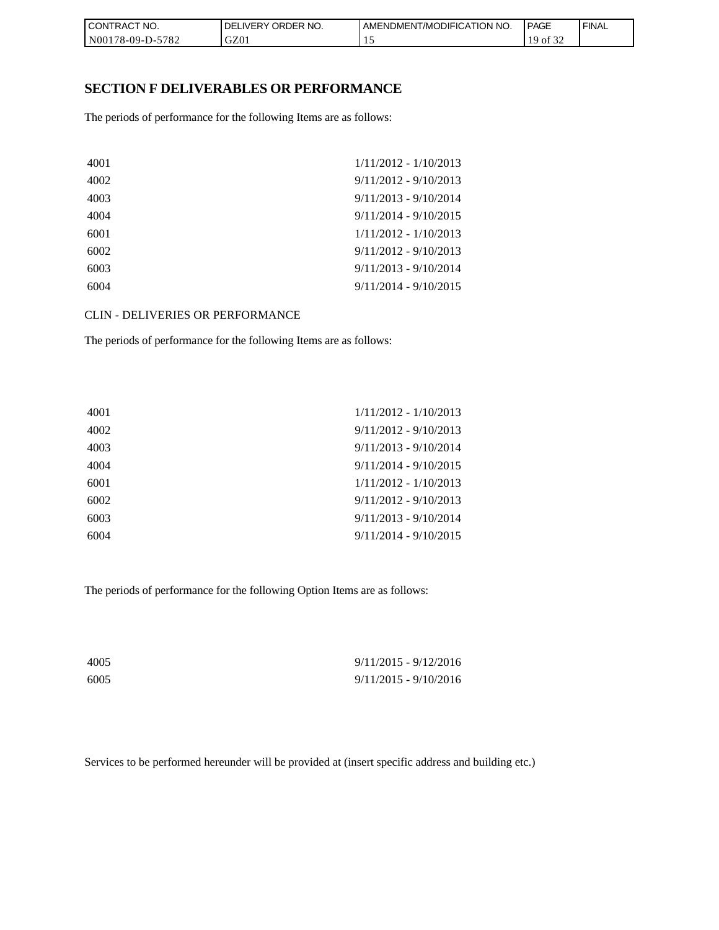| l CON <sup>-</sup><br>'TRACT NO. | NO.<br>ORDER <sup>'</sup><br><b>DELIVERY</b> | AMENDMENT/MODIFICATION<br>I NO. | <b>PAGE</b> | <b>FINAL</b> |
|----------------------------------|----------------------------------------------|---------------------------------|-------------|--------------|
| N00178-09-D-5782                 | GZ01                                         |                                 | ΟĪ<br>ے ر   |              |

### **SECTION F DELIVERABLES OR PERFORMANCE**

The periods of performance for the following Items are as follows:

| 4001 | $1/11/2012 - 1/10/2013$ |
|------|-------------------------|
| 4002 | $9/11/2012 - 9/10/2013$ |
| 4003 | $9/11/2013 - 9/10/2014$ |
| 4004 | $9/11/2014 - 9/10/2015$ |
| 6001 | $1/11/2012 - 1/10/2013$ |
| 6002 | $9/11/2012 - 9/10/2013$ |
| 6003 | $9/11/2013 - 9/10/2014$ |
| 6004 | $9/11/2014 - 9/10/2015$ |

CLIN - DELIVERIES OR PERFORMANCE

The periods of performance for the following Items are as follows:

| $1/11/2012 - 1/10/2013$ |
|-------------------------|
| $9/11/2012 - 9/10/2013$ |
| $9/11/2013 - 9/10/2014$ |
| $9/11/2014 - 9/10/2015$ |
| $1/11/2012 - 1/10/2013$ |
| $9/11/2012 - 9/10/2013$ |
| $9/11/2013 - 9/10/2014$ |
| $9/11/2014 - 9/10/2015$ |
|                         |

The periods of performance for the following Option Items are as follows:

| 4005 | $9/11/2015 - 9/12/2016$ |
|------|-------------------------|
| 6005 | $9/11/2015 - 9/10/2016$ |

Services to be performed hereunder will be provided at (insert specific address and building etc.)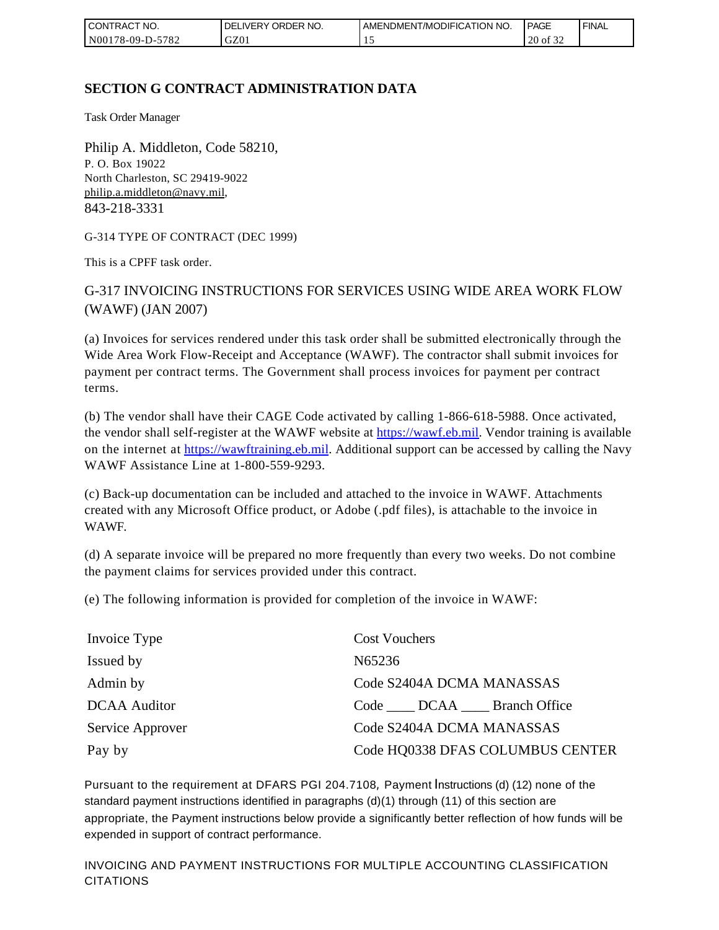| I CONTRACT NO.         | ORDER NO.<br><b>DELIVERY</b> | AMENDMENT/MODIFICATION NO. | <b>PAGE</b>                      | ' FINAL |
|------------------------|------------------------------|----------------------------|----------------------------------|---------|
| N00178-09-D-5<br>-5782 | GZ01                         | . .                        | $\sim$ $\sim$ $\sim$<br>20 of 32 |         |

# **SECTION G CONTRACT ADMINISTRATION DATA**

Task Order Manager

Philip A. Middleton, Code 58210, P. O. Box 19022 North Charleston, SC 29419-9022 [philip.a.middleton@navy.mil](mailto:cphilip.a.middleton@navy.mil), 843-218-3331

G-314 TYPE OF CONTRACT (DEC 1999)

This is a CPFF task order.

G-317 INVOICING INSTRUCTIONS FOR SERVICES USING WIDE AREA WORK FLOW (WAWF) (JAN 2007)

(a) Invoices for services rendered under this task order shall be submitted electronically through the Wide Area Work Flow-Receipt and Acceptance (WAWF). The contractor shall submit invoices for payment per contract terms. The Government shall process invoices for payment per contract terms.

(b) The vendor shall have their CAGE Code activated by calling 1-866-618-5988. Once activated, the vendor shall self-register at the WAWF website at [https://wawf.eb.mil.](https://wawf.eb.mil/) Vendor training is available on the internet at [https://wawftraining.eb.mil.](https://wawftraining.eb.mil/) Additional support can be accessed by calling the Navy WAWF Assistance Line at 1-800-559-9293.

(c) Back-up documentation can be included and attached to the invoice in WAWF. Attachments created with any Microsoft Office product, or Adobe (.pdf files), is attachable to the invoice in WAWF.

(d) A separate invoice will be prepared no more frequently than every two weeks. Do not combine the payment claims for services provided under this contract.

(e) The following information is provided for completion of the invoice in WAWF:

| Invoice Type        | <b>Cost Vouchers</b>             |
|---------------------|----------------------------------|
| Issued by           | N65236                           |
| Admin by            | Code S2404A DCMA MANASSAS        |
| <b>DCAA</b> Auditor | Code DCAA Branch Office          |
| Service Approver    | Code S2404A DCMA MANASSAS        |
| Pay by              | Code HQ0338 DFAS COLUMBUS CENTER |

Pursuant to the requirement at DFARS PGI 204.7108, Payment Instructions (d) (12) none of the standard payment instructions identified in paragraphs (d)(1) through (11) of this section are appropriate, the Payment instructions below provide a significantly better reflection of how funds will be expended in support of contract performance.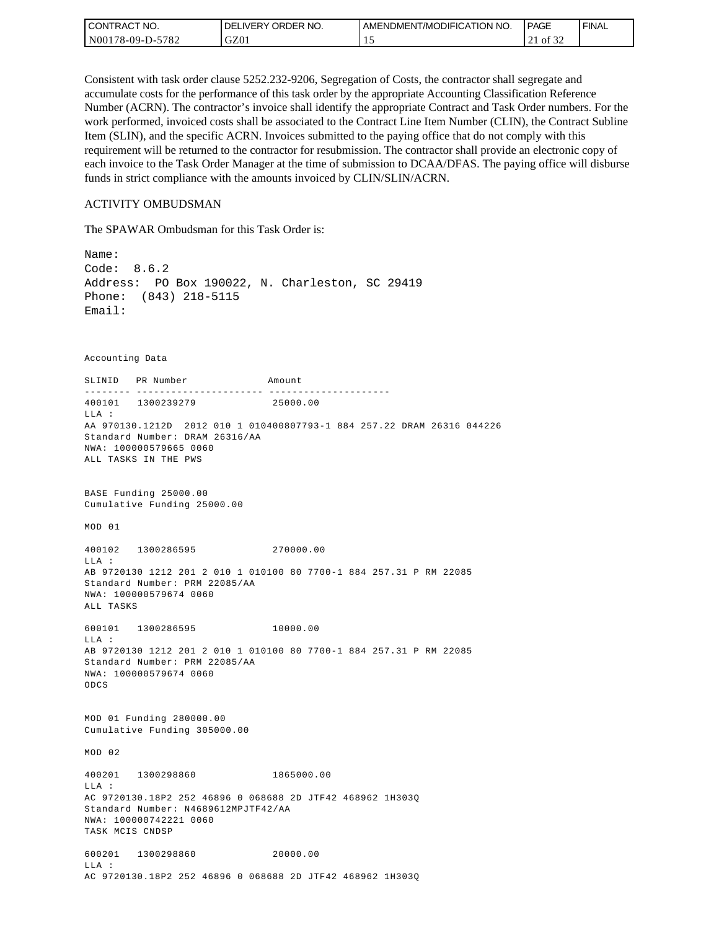| <b>CONTRACT NO.</b> | ' ORDER NO.<br><b>DELIVERY</b> | AMENDMENT/MODIFICATION NO. | PAGE                                  | ' FINAL |
|---------------------|--------------------------------|----------------------------|---------------------------------------|---------|
| N00178-09-D-5782    | GZ01                           | . .                        | $c \wedge c$<br>ΟĪ<br>$\sim$ 1<br>ے ر |         |

Consistent with task order clause 5252.232-9206, Segregation of Costs, the contractor shall segregate and accumulate costs for the performance of this task order by the appropriate Accounting Classification Reference Number (ACRN). The contractor's invoice shall identify the appropriate Contract and Task Order numbers. For the work performed, invoiced costs shall be associated to the Contract Line Item Number (CLIN), the Contract Subline Item (SLIN), and the specific ACRN. Invoices submitted to the paying office that do not comply with this requirement will be returned to the contractor for resubmission. The contractor shall provide an electronic copy of each invoice to the Task Order Manager at the time of submission to DCAA/DFAS. The paying office will disburse funds in strict compliance with the amounts invoiced by CLIN/SLIN/ACRN.

#### ACTIVITY OMBUDSMAN

The SPAWAR Ombudsman for this Task Order is:

Name: Code: 8.6.2 Address: PO Box 190022, N. Charleston, SC 29419 Phone: (843) 218-5115 Email: Accounting Data SLINID PR Number Amount -------- ---------------------- ---------------------400101 1300239279 25000.00 LLA : AA 970130.1212D 2012 010 1 010400807793-1 884 257.22 DRAM 26316 044226 Standard Number: DRAM 26316/AA NWA: 100000579665 0060 ALL TASKS IN THE PWS BASE Funding 25000.00 Cumulative Funding 25000.00 MOD 01 400102 1300286595 270000.00 LLA : AB 9720130 1212 201 2 010 1 010100 80 7700-1 884 257.31 P RM 22085 Standard Number: PRM 22085/AA NWA: 100000579674 0060 ALL TASKS 600101 1300286595 10000.00 LLA : AB 9720130 1212 201 2 010 1 010100 80 7700-1 884 257.31 P RM 22085 Standard Number: PRM 22085/AA NWA: 100000579674 0060 ODCS MOD 01 Funding 280000.00 Cumulative Funding 305000.00 MOD 02 400201 1300298860 1865000.00  $T.T.A$  : AC 9720130.18P2 252 46896 0 068688 2D JTF42 468962 1H303Q Standard Number: N4689612MPJTF42/AA NWA: 100000742221 0060 TASK MCIS CNDSP 600201 1300298860 20000.00 LLA : AC 9720130.18P2 252 46896 0 068688 2D JTF42 468962 1H303Q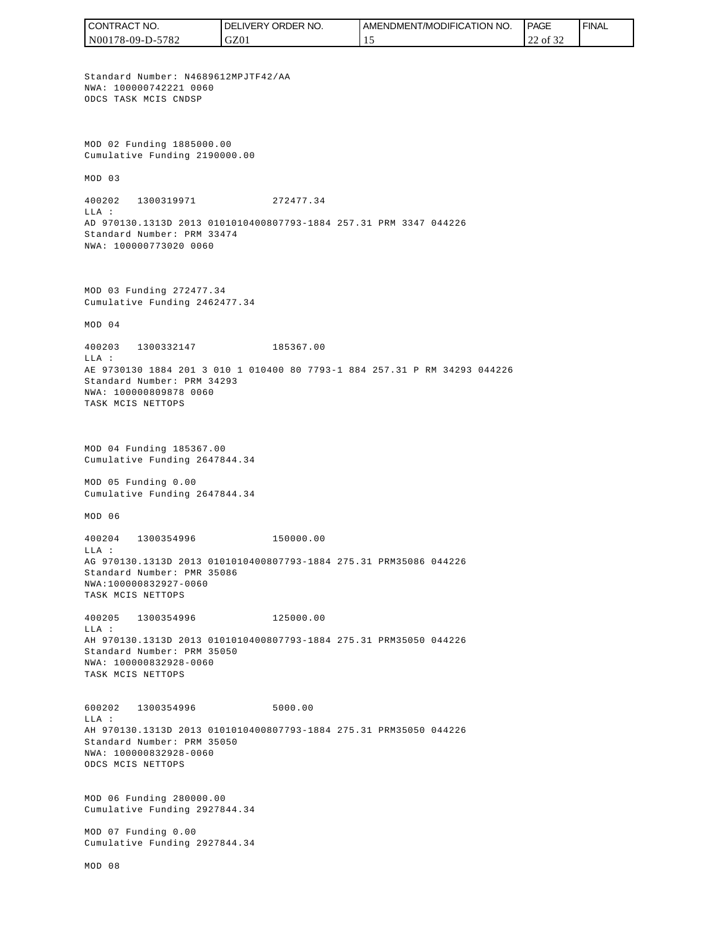CONTRACT NO. DELIVERY ORDER NO. AMENDMENT/MODIFICATION NO. **PAGE**  FINALCONTRACT NO.<br>
NO0178-09-D-5<br>
Standard Numb<br>
Non 178-09-D-5<br>
Standard Numb<br>
NNA: 10000074<br>
ODCS TASK MCI<br>
Cumulative Fu<br>
MOD 03<br>
400202 1300<br>
400202 1300<br>
LLA:<br>
AD 970130.131<br>
Standard Numb<br>
NNA: 10000077<br>
MOD 03 Fundin<br>
Cu N00178-09-D-5782 GZ01 15 22 of 32 Standard Number: N4689612MPJTF42/AA NWA: 100000742221 0060 ODCS TASK MCIS CNDSP MOD 02 Funding 1885000.00 Cumulative Funding 2190000.00 MOD 03 400202 1300319971 272477.34  $T.T.A$  : AD 970130.1313D 2013 0101010400807793-1884 257.31 PRM 3347 044226 Standard Number: PRM 33474 NWA: 100000773020 0060 MOD 03 Funding 272477.34 Cumulative Funding 2462477.34 MOD 04 400203 1300332147 185367.00 LLA : AE 9730130 1884 201 3 010 1 010400 80 7793-1 884 257.31 P RM 34293 044226 Standard Number: PRM 34293 NWA: 100000809878 0060 TASK MCIS NETTOPS MOD 04 Funding 185367.00 Cumulative Funding 2647844.34 MOD 05 Funding 0.00 Cumulative Funding 2647844.34 MOD 06 400204 1300354996 150000.00  $T.T.A$  : AG 970130.1313D 2013 0101010400807793-1884 275.31 PRM35086 044226 Standard Number: PMR 35086 NWA:100000832927-0060 TASK MCIS NETTOPS 400205 1300354996 125000.00 LLA : AH 970130.1313D 2013 0101010400807793-1884 275.31 PRM35050 044226 Standard Number: PRM 35050 NWA: 100000832928-0060 TASK MCIS NETTOPS 600202 1300354996 5000.00 LLA : AH 970130.1313D 2013 0101010400807793-1884 275.31 PRM35050 044226 Standard Number: PRM 35050 NWA: 100000832928-0060 ODCS MCIS NETTOPS MOD 06 Funding 280000.00 Cumulative Funding 2927844.34 MOD 07 Funding 0.00 Cumulative Funding 2927844.34 MOD 08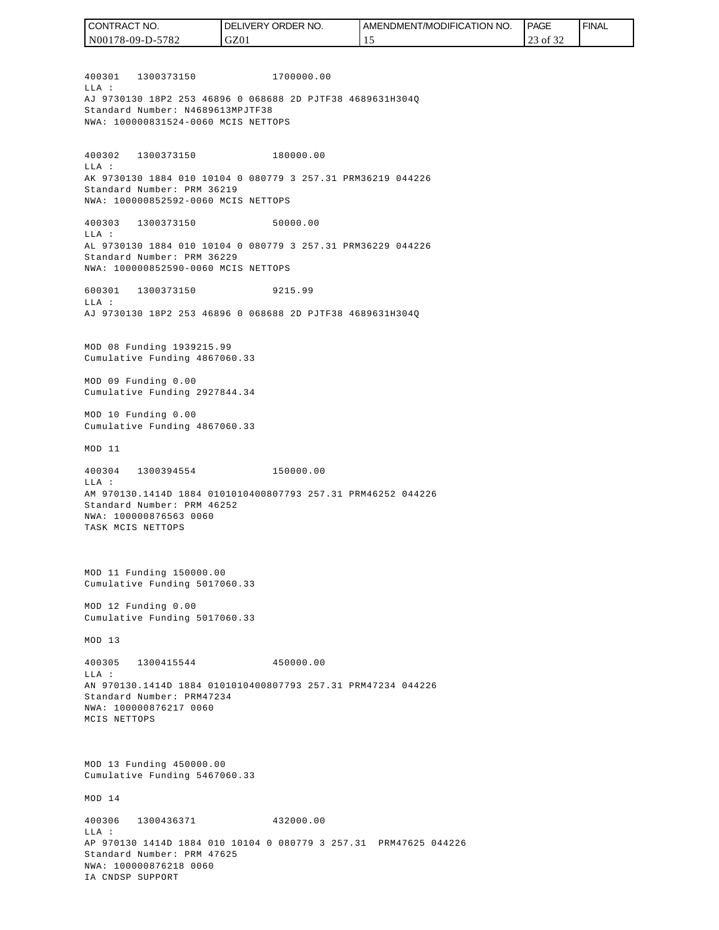400301 1300373150 1700000.00  $T.T.A$  : AJ 9730130 18P2 253 46896 0 068688 2D PJTF38 4689631H304Q Standard Number: N4689613MPJTF38 NWA: 100000831524-0060 MCIS NETTOPS 400302 1300373150 180000.00 LLA : AK 9730130 1884 010 10104 0 080779 3 257.31 PRM36219 044226 Standard Number: PRM 36219 NWA: 100000852592-0060 MCIS NETTOPS 400303 1300373150 50000.00 LLA : AL 9730130 1884 010 10104 0 080779 3 257.31 PRM36229 044226 Standard Number: PRM 36229 NWA: 100000852590-0060 MCIS NETTOPS 600301 1300373150 9215.99  $T.T.A$  : AJ 9730130 18P2 253 46896 0 068688 2D PJTF38 4689631H304Q MOD 08 Funding 1939215.99 Cumulative Funding 4867060.33 MOD 09 Funding 0.00 Cumulative Funding 2927844.34 MOD 10 Funding 0.00 Cumulative Funding 4867060.33 MOD 11 400304 1300394554 150000.00 LLA : AM 970130.1414D 1884 0101010400807793 257.31 PRM46252 044226 Standard Number: PRM 46252 NWA: 100000876563 0060 TASK MCIS NETTOPS MOD 11 Funding 150000.00 Cumulative Funding 5017060.33 MOD 12 Funding 0.00 Cumulative Funding 5017060.33 MOD 13 400305 1300415544 450000.00  $T.T.A$  : AN 970130.1414D 1884 0101010400807793 257.31 PRM47234 044226 Standard Number: PRM47234 NWA: 100000876217 0060 MCIS NETTOPS MOD 13 Funding 450000.00 Cumulative Funding 5467060.33 MOD 14 400306 1300436371 432000.00  $T.T.A$  : AP 970130 1414D 1884 010 10104 0 080779 3 257.31 PRM47625 044226 Standard Number: PRM 47625 NWA: 100000876218 0060 IA CNDSP SUPPORT N00178-09-D-5782 GZ01 15 23 of 32

CONTRACT NO.

DELIVERY ORDER NO.

AMENDMENT/MODIFICATION NO.

**PAGE** 

FINAL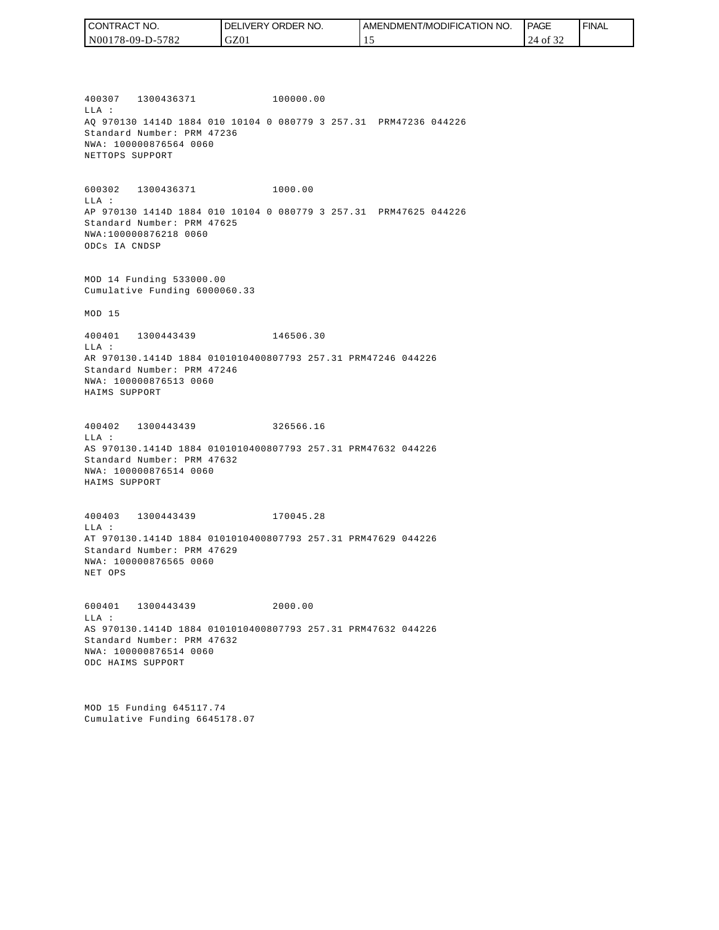| ' CONTRACT NO.   | NO.<br><b>DELIVERY ORDER</b> | AMENDMENT/MODIFICATION NO. | <b>PAGE</b> | <b>FINAL</b> |
|------------------|------------------------------|----------------------------|-------------|--------------|
| N00178-09-D-5782 | GZ0 <sub>1</sub>             | . .                        | 24<br>0Ī    |              |

400307 1300436371 100000.00 LLA : AQ 970130 1414D 1884 010 10104 0 080779 3 257.31 PRM47236 044226 Standard Number: PRM 47236 NWA: 100000876564 0060 NETTOPS SUPPORT

600302 1300436371 1000.00 LLA : AP 970130 1414D 1884 010 10104 0 080779 3 257.31 PRM47625 044226 Standard Number: PRM 47625 NWA:100000876218 0060 ODCs IA CNDSP

MOD 14 Funding 533000.00 Cumulative Funding 6000060.33

MOD 15

400401 1300443439 146506.30 LLA : AR 970130.1414D 1884 0101010400807793 257.31 PRM47246 044226 Standard Number: PRM 47246 NWA: 100000876513 0060 HAIMS SUPPORT

400402 1300443439 326566.16 LLA : AS 970130.1414D 1884 0101010400807793 257.31 PRM47632 044226 Standard Number: PRM 47632 NWA: 100000876514 0060 HAIMS SUPPORT

400403 1300443439 170045.28 LLA : AT 970130.1414D 1884 0101010400807793 257.31 PRM47629 044226 Standard Number: PRM 47629 NWA: 100000876565 0060 NET OPS

600401 1300443439 2000.00  $T.T.A$  : AS 970130.1414D 1884 0101010400807793 257.31 PRM47632 044226 Standard Number: PRM 47632 NWA: 100000876514 0060 ODC HAIMS SUPPORT

MOD 15 Funding 645117.74 Cumulative Funding 6645178.07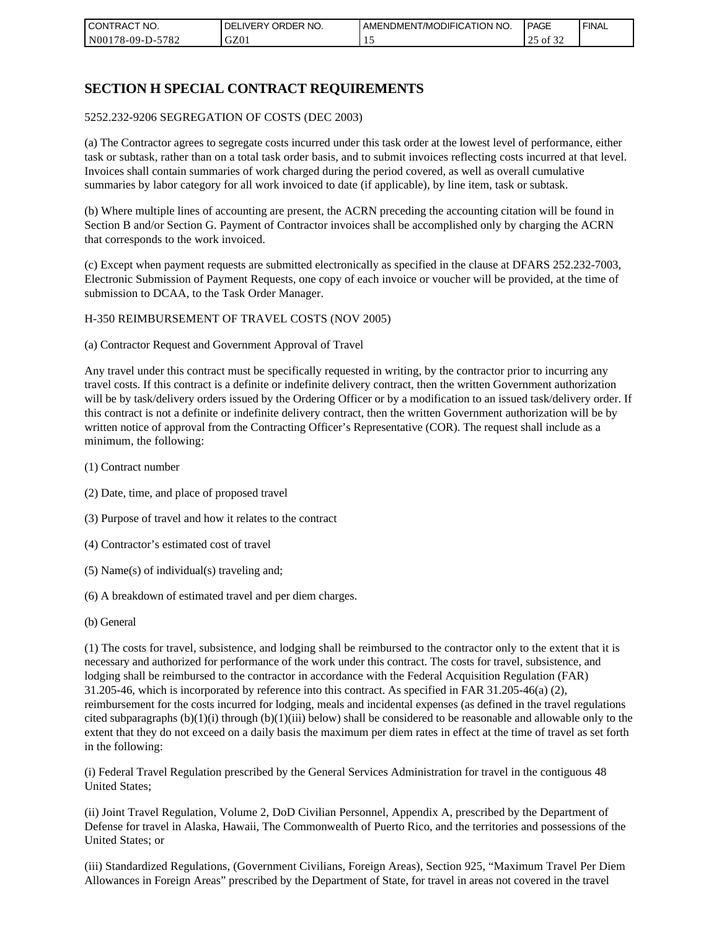| I CON <sup>-</sup><br>'TRACT NO. | NO.<br>ORDER<br>DELIVERY | AMENDMENT/MODIFICATION NO. | <b>I PAGE</b>       | ' FINAL |
|----------------------------------|--------------------------|----------------------------|---------------------|---------|
| N00178-09-D-5<br>$-5782$         | GZ01                     |                            | 0.22<br>of 32<br>رے |         |

# **SECTION H SPECIAL CONTRACT REQUIREMENTS**

#### 5252.232-9206 SEGREGATION OF COSTS (DEC 2003)

(a) The Contractor agrees to segregate costs incurred under this task order at the lowest level of performance, either task or subtask, rather than on a total task order basis, and to submit invoices reflecting costs incurred at that level. Invoices shall contain summaries of work charged during the period covered, as well as overall cumulative summaries by labor category for all work invoiced to date (if applicable), by line item, task or subtask.

(b) Where multiple lines of accounting are present, the ACRN preceding the accounting citation will be found in Section B and/or Section G. Payment of Contractor invoices shall be accomplished only by charging the ACRN that corresponds to the work invoiced.

(c) Except when payment requests are submitted electronically as specified in the clause at DFARS 252.232-7003, Electronic Submission of Payment Requests, one copy of each invoice or voucher will be provided, at the time of submission to DCAA, to the Task Order Manager.

#### H-350 REIMBURSEMENT OF TRAVEL COSTS (NOV 2005)

(a) Contractor Request and Government Approval of Travel

Any travel under this contract must be specifically requested in writing, by the contractor prior to incurring any travel costs. If this contract is a definite or indefinite delivery contract, then the written Government authorization will be by task/delivery orders issued by the Ordering Officer or by a modification to an issued task/delivery order. If this contract is not a definite or indefinite delivery contract, then the written Government authorization will be by written notice of approval from the Contracting Officer's Representative (COR). The request shall include as a minimum, the following:

- (1) Contract number
- (2) Date, time, and place of proposed travel
- (3) Purpose of travel and how it relates to the contract
- (4) Contractor's estimated cost of travel
- (5) Name(s) of individual(s) traveling and;
- (6) A breakdown of estimated travel and per diem charges.
- (b) General

(1) The costs for travel, subsistence, and lodging shall be reimbursed to the contractor only to the extent that it is necessary and authorized for performance of the work under this contract. The costs for travel, subsistence, and lodging shall be reimbursed to the contractor in accordance with the Federal Acquisition Regulation (FAR) 31.205-46, which is incorporated by reference into this contract. As specified in FAR 31.205-46(a) (2), reimbursement for the costs incurred for lodging, meals and incidental expenses (as defined in the travel regulations cited subparagraphs  $(b)(1)(i)$  through  $(b)(1)(iii)$  below) shall be considered to be reasonable and allowable only to the extent that they do not exceed on a daily basis the maximum per diem rates in effect at the time of travel as set forth in the following:

(i) Federal Travel Regulation prescribed by the General Services Administration for travel in the contiguous 48 United States;

(ii) Joint Travel Regulation, Volume 2, DoD Civilian Personnel, Appendix A, prescribed by the Department of Defense for travel in Alaska, Hawaii, The Commonwealth of Puerto Rico, and the territories and possessions of the United States; or

(iii) Standardized Regulations, (Government Civilians, Foreign Areas), Section 925, "Maximum Travel Per Diem Allowances in Foreign Areas" prescribed by the Department of State, for travel in areas not covered in the travel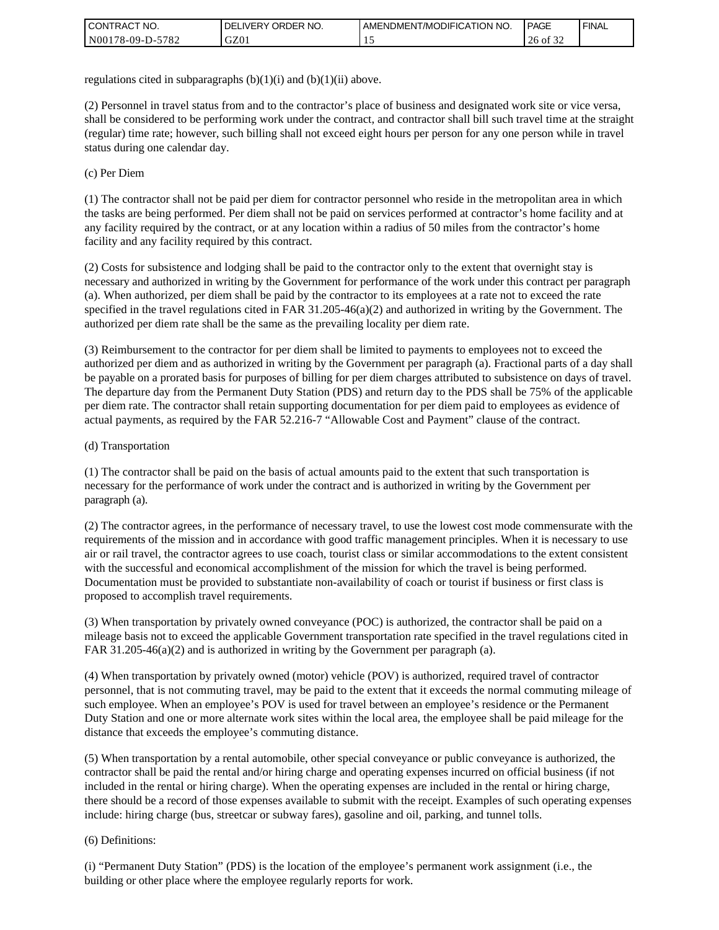| I CONTRACT NO.           | ' ORDER NO.<br><b>DELIVERY</b> | AMENDMENT/MODIFICATION NO. | <b>PAGE</b>         | <b>FINAL</b> |
|--------------------------|--------------------------------|----------------------------|---------------------|--------------|
| N00178-09-D-5<br>$-5782$ | GZ01                           | . .                        | 26<br>$\cdot$ of 3. |              |

regulations cited in subparagraphs  $(b)(1)(i)$  and  $(b)(1)(ii)$  above.

(2) Personnel in travel status from and to the contractor's place of business and designated work site or vice versa, shall be considered to be performing work under the contract, and contractor shall bill such travel time at the straight (regular) time rate; however, such billing shall not exceed eight hours per person for any one person while in travel status during one calendar day.

(c) Per Diem

(1) The contractor shall not be paid per diem for contractor personnel who reside in the metropolitan area in which the tasks are being performed. Per diem shall not be paid on services performed at contractor's home facility and at any facility required by the contract, or at any location within a radius of 50 miles from the contractor's home facility and any facility required by this contract.

(2) Costs for subsistence and lodging shall be paid to the contractor only to the extent that overnight stay is necessary and authorized in writing by the Government for performance of the work under this contract per paragraph (a). When authorized, per diem shall be paid by the contractor to its employees at a rate not to exceed the rate specified in the travel regulations cited in FAR 31.205-46(a)(2) and authorized in writing by the Government. The authorized per diem rate shall be the same as the prevailing locality per diem rate.

(3) Reimbursement to the contractor for per diem shall be limited to payments to employees not to exceed the authorized per diem and as authorized in writing by the Government per paragraph (a). Fractional parts of a day shall be payable on a prorated basis for purposes of billing for per diem charges attributed to subsistence on days of travel. The departure day from the Permanent Duty Station (PDS) and return day to the PDS shall be 75% of the applicable per diem rate. The contractor shall retain supporting documentation for per diem paid to employees as evidence of actual payments, as required by the FAR 52.216-7 "Allowable Cost and Payment" clause of the contract.

#### (d) Transportation

(1) The contractor shall be paid on the basis of actual amounts paid to the extent that such transportation is necessary for the performance of work under the contract and is authorized in writing by the Government per paragraph (a).

(2) The contractor agrees, in the performance of necessary travel, to use the lowest cost mode commensurate with the requirements of the mission and in accordance with good traffic management principles. When it is necessary to use air or rail travel, the contractor agrees to use coach, tourist class or similar accommodations to the extent consistent with the successful and economical accomplishment of the mission for which the travel is being performed. Documentation must be provided to substantiate non-availability of coach or tourist if business or first class is proposed to accomplish travel requirements.

(3) When transportation by privately owned conveyance (POC) is authorized, the contractor shall be paid on a mileage basis not to exceed the applicable Government transportation rate specified in the travel regulations cited in FAR 31.205-46(a)(2) and is authorized in writing by the Government per paragraph (a).

(4) When transportation by privately owned (motor) vehicle (POV) is authorized, required travel of contractor personnel, that is not commuting travel, may be paid to the extent that it exceeds the normal commuting mileage of such employee. When an employee's POV is used for travel between an employee's residence or the Permanent Duty Station and one or more alternate work sites within the local area, the employee shall be paid mileage for the distance that exceeds the employee's commuting distance.

(5) When transportation by a rental automobile, other special conveyance or public conveyance is authorized, the contractor shall be paid the rental and/or hiring charge and operating expenses incurred on official business (if not included in the rental or hiring charge). When the operating expenses are included in the rental or hiring charge, there should be a record of those expenses available to submit with the receipt. Examples of such operating expenses include: hiring charge (bus, streetcar or subway fares), gasoline and oil, parking, and tunnel tolls.

#### (6) Definitions:

(i) "Permanent Duty Station" (PDS) is the location of the employee's permanent work assignment (i.e., the building or other place where the employee regularly reports for work.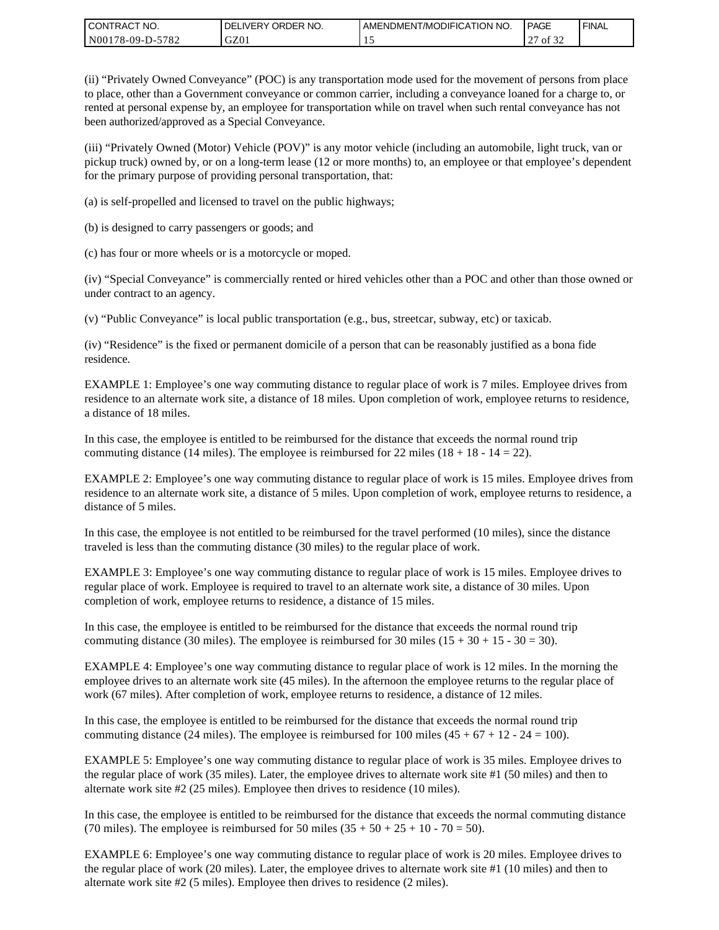| I CONTRACT NO.   | ' ORDER NO.<br>DELIVERY | <b>LAMENDMENT/MODIFICATION NO.</b> | PAGE         | ' FINAL |
|------------------|-------------------------|------------------------------------|--------------|---------|
| N00178-09-D-5782 | GZ01                    | …                                  | of 32<br>ا ت |         |

(ii) "Privately Owned Conveyance" (POC) is any transportation mode used for the movement of persons from place to place, other than a Government conveyance or common carrier, including a conveyance loaned for a charge to, or rented at personal expense by, an employee for transportation while on travel when such rental conveyance has not been authorized/approved as a Special Conveyance.

(iii) "Privately Owned (Motor) Vehicle (POV)" is any motor vehicle (including an automobile, light truck, van or pickup truck) owned by, or on a long-term lease (12 or more months) to, an employee or that employee's dependent for the primary purpose of providing personal transportation, that:

(a) is self-propelled and licensed to travel on the public highways;

(b) is designed to carry passengers or goods; and

(c) has four or more wheels or is a motorcycle or moped.

(iv) "Special Conveyance" is commercially rented or hired vehicles other than a POC and other than those owned or under contract to an agency.

(v) "Public Conveyance" is local public transportation (e.g., bus, streetcar, subway, etc) or taxicab.

(iv) "Residence" is the fixed or permanent domicile of a person that can be reasonably justified as a bona fide residence.

EXAMPLE 1: Employee's one way commuting distance to regular place of work is 7 miles. Employee drives from residence to an alternate work site, a distance of 18 miles. Upon completion of work, employee returns to residence, a distance of 18 miles.

In this case, the employee is entitled to be reimbursed for the distance that exceeds the normal round trip commuting distance (14 miles). The employee is reimbursed for 22 miles (18 + 18 - 14 = 22).

EXAMPLE 2: Employee's one way commuting distance to regular place of work is 15 miles. Employee drives from residence to an alternate work site, a distance of 5 miles. Upon completion of work, employee returns to residence, a distance of 5 miles.

In this case, the employee is not entitled to be reimbursed for the travel performed (10 miles), since the distance traveled is less than the commuting distance (30 miles) to the regular place of work.

EXAMPLE 3: Employee's one way commuting distance to regular place of work is 15 miles. Employee drives to regular place of work. Employee is required to travel to an alternate work site, a distance of 30 miles. Upon completion of work, employee returns to residence, a distance of 15 miles.

In this case, the employee is entitled to be reimbursed for the distance that exceeds the normal round trip commuting distance (30 miles). The employee is reimbursed for 30 miles  $(15 + 30 + 15 - 30 = 30)$ .

EXAMPLE 4: Employee's one way commuting distance to regular place of work is 12 miles. In the morning the employee drives to an alternate work site (45 miles). In the afternoon the employee returns to the regular place of work (67 miles). After completion of work, employee returns to residence, a distance of 12 miles.

In this case, the employee is entitled to be reimbursed for the distance that exceeds the normal round trip commuting distance (24 miles). The employee is reimbursed for 100 miles  $(45 + 67 + 12 - 24 = 100)$ .

EXAMPLE 5: Employee's one way commuting distance to regular place of work is 35 miles. Employee drives to the regular place of work (35 miles). Later, the employee drives to alternate work site #1 (50 miles) and then to alternate work site #2 (25 miles). Employee then drives to residence (10 miles).

In this case, the employee is entitled to be reimbursed for the distance that exceeds the normal commuting distance (70 miles). The employee is reimbursed for 50 miles  $(35 + 50 + 25 + 10 - 70 = 50)$ .

EXAMPLE 6: Employee's one way commuting distance to regular place of work is 20 miles. Employee drives to the regular place of work (20 miles). Later, the employee drives to alternate work site #1 (10 miles) and then to alternate work site #2 (5 miles). Employee then drives to residence (2 miles).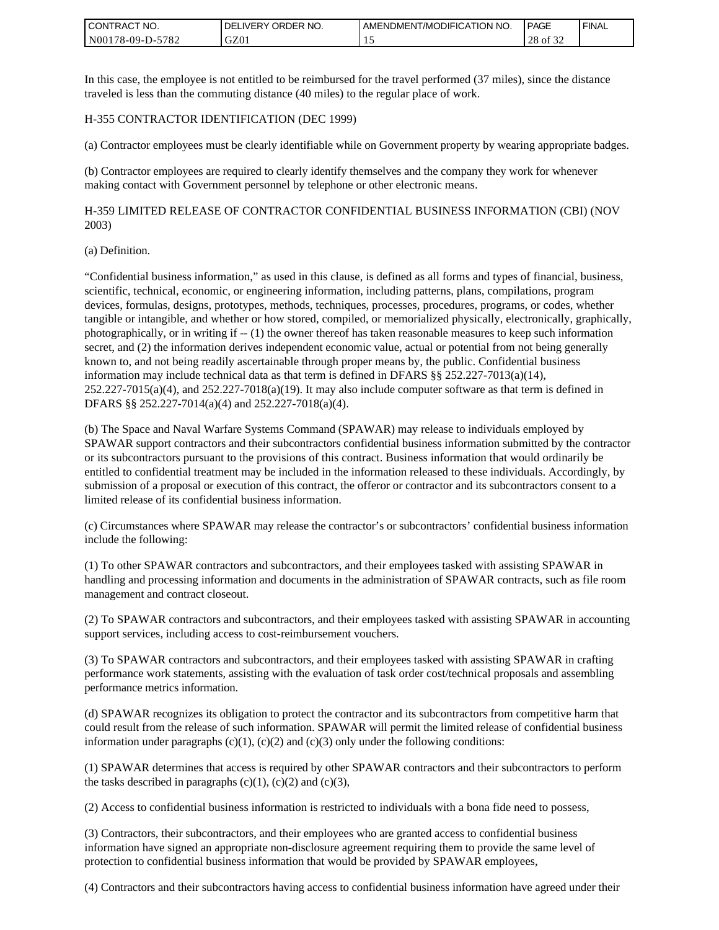| <b>CONTRACT NO.</b> | ' ORDER NO.<br><b>DELIVERY</b> | I AMENDMENT/MODIFICATION NO. | PAGE        | ' FINAL |
|---------------------|--------------------------------|------------------------------|-------------|---------|
| N00178-09-D-5782    | GZ0 <sub>1</sub>               | . .                          | 28<br>of 32 |         |

In this case, the employee is not entitled to be reimbursed for the travel performed (37 miles), since the distance traveled is less than the commuting distance (40 miles) to the regular place of work.

#### H-355 CONTRACTOR IDENTIFICATION (DEC 1999)

(a) Contractor employees must be clearly identifiable while on Government property by wearing appropriate badges.

(b) Contractor employees are required to clearly identify themselves and the company they work for whenever making contact with Government personnel by telephone or other electronic means.

H-359 LIMITED RELEASE OF CONTRACTOR CONFIDENTIAL BUSINESS INFORMATION (CBI) (NOV 2003)

#### (a) Definition.

"Confidential business information," as used in this clause, is defined as all forms and types of financial, business, scientific, technical, economic, or engineering information, including patterns, plans, compilations, program devices, formulas, designs, prototypes, methods, techniques, processes, procedures, programs, or codes, whether tangible or intangible, and whether or how stored, compiled, or memorialized physically, electronically, graphically, photographically, or in writing if -- (1) the owner thereof has taken reasonable measures to keep such information secret, and (2) the information derives independent economic value, actual or potential from not being generally known to, and not being readily ascertainable through proper means by, the public. Confidential business information may include technical data as that term is defined in DFARS §§ 252.227-7013(a)(14),  $252.227-7015(a)(4)$ , and  $252.227-7018(a)(19)$ . It may also include computer software as that term is defined in DFARS §§ 252.227-7014(a)(4) and 252.227-7018(a)(4).

(b) The Space and Naval Warfare Systems Command (SPAWAR) may release to individuals employed by SPAWAR support contractors and their subcontractors confidential business information submitted by the contractor or its subcontractors pursuant to the provisions of this contract. Business information that would ordinarily be entitled to confidential treatment may be included in the information released to these individuals. Accordingly, by submission of a proposal or execution of this contract, the offeror or contractor and its subcontractors consent to a limited release of its confidential business information.

(c) Circumstances where SPAWAR may release the contractor's or subcontractors' confidential business information include the following:

(1) To other SPAWAR contractors and subcontractors, and their employees tasked with assisting SPAWAR in handling and processing information and documents in the administration of SPAWAR contracts, such as file room management and contract closeout.

(2) To SPAWAR contractors and subcontractors, and their employees tasked with assisting SPAWAR in accounting support services, including access to cost-reimbursement vouchers.

(3) To SPAWAR contractors and subcontractors, and their employees tasked with assisting SPAWAR in crafting performance work statements, assisting with the evaluation of task order cost/technical proposals and assembling performance metrics information.

(d) SPAWAR recognizes its obligation to protect the contractor and its subcontractors from competitive harm that could result from the release of such information. SPAWAR will permit the limited release of confidential business information under paragraphs  $(c)(1)$ ,  $(c)(2)$  and  $(c)(3)$  only under the following conditions:

(1) SPAWAR determines that access is required by other SPAWAR contractors and their subcontractors to perform the tasks described in paragraphs  $(c)(1)$ ,  $(c)(2)$  and  $(c)(3)$ ,

(2) Access to confidential business information is restricted to individuals with a bona fide need to possess,

(3) Contractors, their subcontractors, and their employees who are granted access to confidential business information have signed an appropriate non-disclosure agreement requiring them to provide the same level of protection to confidential business information that would be provided by SPAWAR employees,

(4) Contractors and their subcontractors having access to confidential business information have agreed under their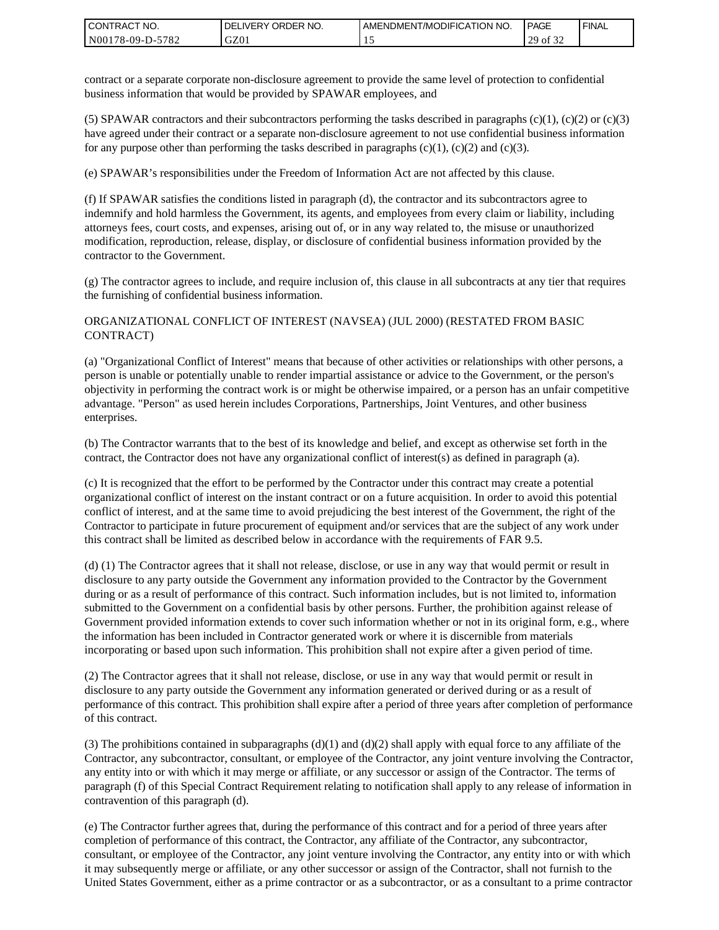| <b>CONTRACT NO.</b> | ' ORDER NO.<br><b>DELIVERY</b> | AMENDMENT/MODIFICATION NO. | <b>PAGE</b>                    | ' FINAL |
|---------------------|--------------------------------|----------------------------|--------------------------------|---------|
| N00178-09-D-5782    | GZ01                           |                            | 0.22<br>20<br>οt<br>ر _<br>ے ر |         |

contract or a separate corporate non-disclosure agreement to provide the same level of protection to confidential business information that would be provided by SPAWAR employees, and

(5) SPAWAR contractors and their subcontractors performing the tasks described in paragraphs  $(c)(1)$ ,  $(c)(2)$  or  $(c)(3)$ have agreed under their contract or a separate non-disclosure agreement to not use confidential business information for any purpose other than performing the tasks described in paragraphs  $(c)(1)$ ,  $(c)(2)$  and  $(c)(3)$ .

(e) SPAWAR's responsibilities under the Freedom of Information Act are not affected by this clause.

(f) If SPAWAR satisfies the conditions listed in paragraph (d), the contractor and its subcontractors agree to indemnify and hold harmless the Government, its agents, and employees from every claim or liability, including attorneys fees, court costs, and expenses, arising out of, or in any way related to, the misuse or unauthorized modification, reproduction, release, display, or disclosure of confidential business information provided by the contractor to the Government.

(g) The contractor agrees to include, and require inclusion of, this clause in all subcontracts at any tier that requires the furnishing of confidential business information.

#### ORGANIZATIONAL CONFLICT OF INTEREST (NAVSEA) (JUL 2000) (RESTATED FROM BASIC CONTRACT)

(a) "Organizational Conflict of Interest" means that because of other activities or relationships with other persons, a person is unable or potentially unable to render impartial assistance or advice to the Government, or the person's objectivity in performing the contract work is or might be otherwise impaired, or a person has an unfair competitive advantage. "Person" as used herein includes Corporations, Partnerships, Joint Ventures, and other business enterprises.

(b) The Contractor warrants that to the best of its knowledge and belief, and except as otherwise set forth in the contract, the Contractor does not have any organizational conflict of interest(s) as defined in paragraph (a).

(c) It is recognized that the effort to be performed by the Contractor under this contract may create a potential organizational conflict of interest on the instant contract or on a future acquisition. In order to avoid this potential conflict of interest, and at the same time to avoid prejudicing the best interest of the Government, the right of the Contractor to participate in future procurement of equipment and/or services that are the subject of any work under this contract shall be limited as described below in accordance with the requirements of FAR 9.5.

(d) (1) The Contractor agrees that it shall not release, disclose, or use in any way that would permit or result in disclosure to any party outside the Government any information provided to the Contractor by the Government during or as a result of performance of this contract. Such information includes, but is not limited to, information submitted to the Government on a confidential basis by other persons. Further, the prohibition against release of Government provided information extends to cover such information whether or not in its original form, e.g., where the information has been included in Contractor generated work or where it is discernible from materials incorporating or based upon such information. This prohibition shall not expire after a given period of time.

(2) The Contractor agrees that it shall not release, disclose, or use in any way that would permit or result in disclosure to any party outside the Government any information generated or derived during or as a result of performance of this contract. This prohibition shall expire after a period of three years after completion of performance of this contract.

(3) The prohibitions contained in subparagraphs  $(d)(1)$  and  $(d)(2)$  shall apply with equal force to any affiliate of the Contractor, any subcontractor, consultant, or employee of the Contractor, any joint venture involving the Contractor, any entity into or with which it may merge or affiliate, or any successor or assign of the Contractor. The terms of paragraph (f) of this Special Contract Requirement relating to notification shall apply to any release of information in contravention of this paragraph (d).

(e) The Contractor further agrees that, during the performance of this contract and for a period of three years after completion of performance of this contract, the Contractor, any affiliate of the Contractor, any subcontractor, consultant, or employee of the Contractor, any joint venture involving the Contractor, any entity into or with which it may subsequently merge or affiliate, or any other successor or assign of the Contractor, shall not furnish to the United States Government, either as a prime contractor or as a subcontractor, or as a consultant to a prime contractor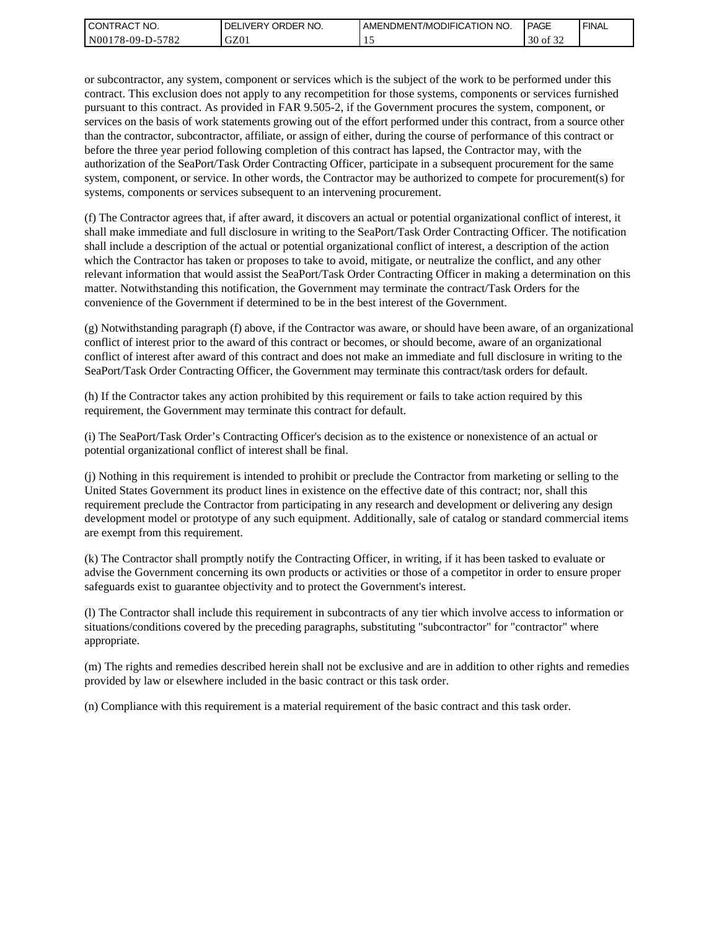| l CON <sup>-</sup><br>'TRACT NO. | NO.<br>ORDER<br>DELI<br>.IVERY | AMENDMENT/MODIFICATION NO. | <b>PAGE</b>                         | ' FINAL |
|----------------------------------|--------------------------------|----------------------------|-------------------------------------|---------|
| N00178-09-D-5<br>5782            | GZ01                           | --                         | 0.22<br>$\Omega$<br>ΟĪ<br>30<br>ے ر |         |

or subcontractor, any system, component or services which is the subject of the work to be performed under this contract. This exclusion does not apply to any recompetition for those systems, components or services furnished pursuant to this contract. As provided in FAR 9.505-2, if the Government procures the system, component, or services on the basis of work statements growing out of the effort performed under this contract, from a source other than the contractor, subcontractor, affiliate, or assign of either, during the course of performance of this contract or before the three year period following completion of this contract has lapsed, the Contractor may, with the authorization of the SeaPort/Task Order Contracting Officer, participate in a subsequent procurement for the same system, component, or service. In other words, the Contractor may be authorized to compete for procurement(s) for systems, components or services subsequent to an intervening procurement.

(f) The Contractor agrees that, if after award, it discovers an actual or potential organizational conflict of interest, it shall make immediate and full disclosure in writing to the SeaPort/Task Order Contracting Officer. The notification shall include a description of the actual or potential organizational conflict of interest, a description of the action which the Contractor has taken or proposes to take to avoid, mitigate, or neutralize the conflict, and any other relevant information that would assist the SeaPort/Task Order Contracting Officer in making a determination on this matter. Notwithstanding this notification, the Government may terminate the contract/Task Orders for the convenience of the Government if determined to be in the best interest of the Government.

(g) Notwithstanding paragraph (f) above, if the Contractor was aware, or should have been aware, of an organizational conflict of interest prior to the award of this contract or becomes, or should become, aware of an organizational conflict of interest after award of this contract and does not make an immediate and full disclosure in writing to the SeaPort/Task Order Contracting Officer, the Government may terminate this contract/task orders for default.

(h) If the Contractor takes any action prohibited by this requirement or fails to take action required by this requirement, the Government may terminate this contract for default.

(i) The SeaPort/Task Order's Contracting Officer's decision as to the existence or nonexistence of an actual or potential organizational conflict of interest shall be final.

(j) Nothing in this requirement is intended to prohibit or preclude the Contractor from marketing or selling to the United States Government its product lines in existence on the effective date of this contract; nor, shall this requirement preclude the Contractor from participating in any research and development or delivering any design development model or prototype of any such equipment. Additionally, sale of catalog or standard commercial items are exempt from this requirement.

(k) The Contractor shall promptly notify the Contracting Officer, in writing, if it has been tasked to evaluate or advise the Government concerning its own products or activities or those of a competitor in order to ensure proper safeguards exist to guarantee objectivity and to protect the Government's interest.

(l) The Contractor shall include this requirement in subcontracts of any tier which involve access to information or situations/conditions covered by the preceding paragraphs, substituting "subcontractor" for "contractor" where appropriate.

(m) The rights and remedies described herein shall not be exclusive and are in addition to other rights and remedies provided by law or elsewhere included in the basic contract or this task order.

(n) Compliance with this requirement is a material requirement of the basic contract and this task order.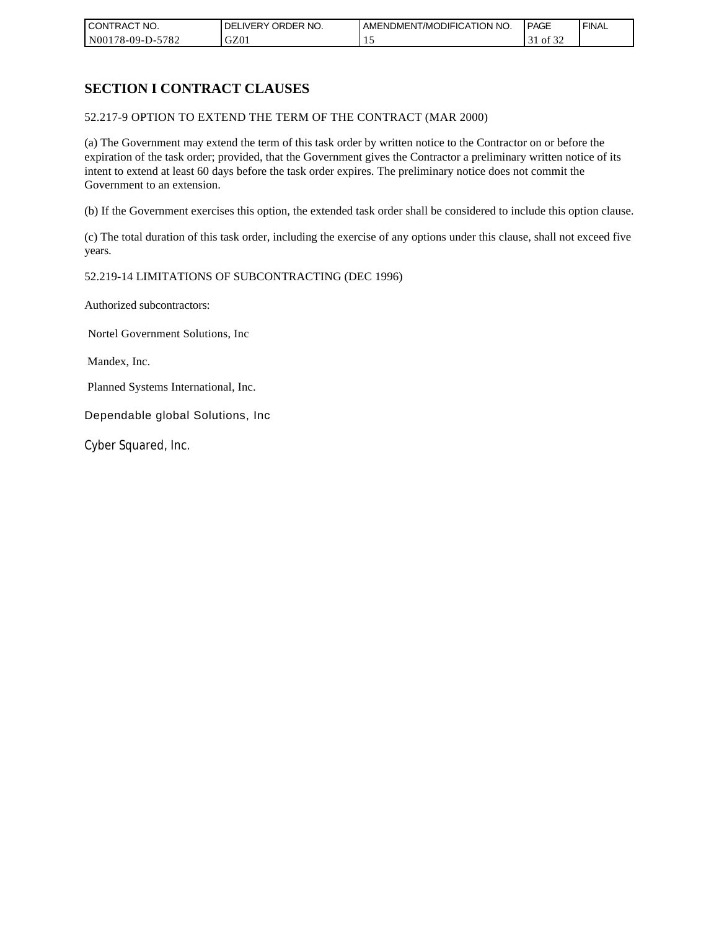| CONTRACT NO.     | ORDER <sup>'</sup><br>NO.<br><b>DELIVERY</b> | AMENDMENT/MODIFICATION NO. | PAGE            | <b>FINAL</b> |
|------------------|----------------------------------------------|----------------------------|-----------------|--------------|
| N00178-09-D-5782 | GZ01                                         |                            | 0Ī<br>51<br>ے ر |              |

# **SECTION I CONTRACT CLAUSES**

52.217-9 OPTION TO EXTEND THE TERM OF THE CONTRACT (MAR 2000)

(a) The Government may extend the term of this task order by written notice to the Contractor on or before the expiration of the task order; provided, that the Government gives the Contractor a preliminary written notice of its intent to extend at least 60 days before the task order expires. The preliminary notice does not commit the Government to an extension.

(b) If the Government exercises this option, the extended task order shall be considered to include this option clause.

(c) The total duration of this task order, including the exercise of any options under this clause, shall not exceed five years.

#### 52.219-14 LIMITATIONS OF SUBCONTRACTING (DEC 1996)

Authorized subcontractors:

Nortel Government Solutions, Inc

Mandex, Inc.

Planned Systems International, Inc.

Dependable global Solutions, Inc

Cyber Squared, Inc.